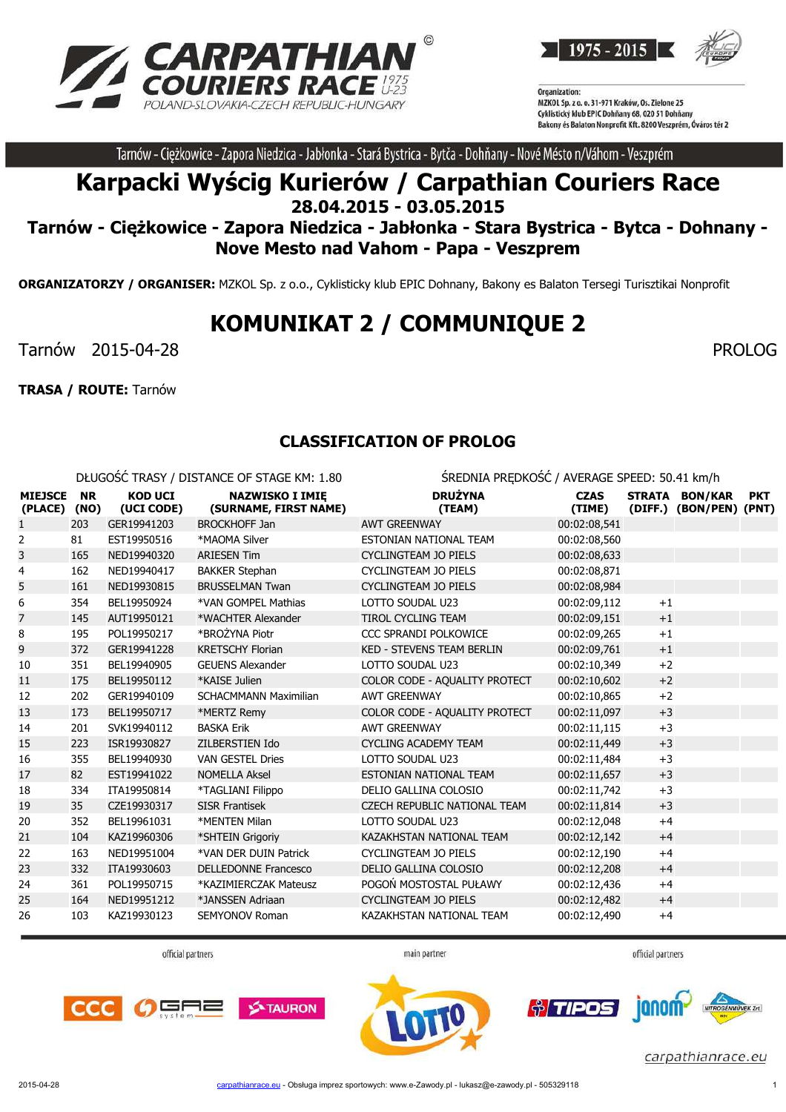



Tarnów - Ciężkowice - Zapora Niedzica - Jabłonka - Stará Bystrica - Bytča - Dohňany - Nové Mésto n/Váhom - Veszprém

## **Karpacki Wyścig Kurierów / Carpathian Couriers Race 28.04.2015 - 03.05.2015**

**Tarnów - Ciężkowice - Zapora Niedzica - Jabłonka - Stara Bystrica - Bytca - Dohnany - Nove Mesto nad Vahom - Papa - Veszprem**

**ORGANIZATORZY / ORGANISER:** MZKOL Sp. z o.o., Cyklisticky klub EPIC Dohnany, Bakony es Balaton Tersegi Turisztikai Nonprofit

# **KOMUNIKAT 2 / COMMUNIQUE 2**

Tarnów 2015-04-28 PROLOG

**TRASA / ROUTE:** Tarnów

### **CLASSIFICATION OF PROLOG**

DŁUGOŚĆ TRASY / DISTANCE OF STAGE KM: 1.80 ŚREDNIA PRĘDKOŚĆ / AVERAGE SPEED: 50.41 km/h

| <b>MIEJSCE</b><br>(PLACE) (NO) | <b>NR</b> | <b>KOD UCI</b><br>(UCI CODE) | <b>NAZWISKO I IMIĘ</b><br>(SURNAME, FIRST NAME) | <b>DRUŻYNA</b><br>(TEAM)            | <b>CZAS</b><br>(TIME) |      | STRATA BON/KAR<br>(DIFF.) (BON/PEN) (PNT) | <b>PKT</b> |
|--------------------------------|-----------|------------------------------|-------------------------------------------------|-------------------------------------|-----------------------|------|-------------------------------------------|------------|
| 1                              | 203       | GER19941203                  | <b>BROCKHOFF Jan</b>                            | <b>AWT GREENWAY</b>                 | 00:02:08,541          |      |                                           |            |
| 2                              | 81        | EST19950516                  | *MAOMA Silver                                   | ESTONIAN NATIONAL TEAM              | 00:02:08,560          |      |                                           |            |
| 3                              | 165       | NED19940320                  | <b>ARIESEN Tim</b>                              | <b>CYCLINGTEAM JO PIELS</b>         | 00:02:08,633          |      |                                           |            |
| 4                              | 162       | NED19940417                  | <b>BAKKER Stephan</b>                           | CYCLINGTEAM JO PIELS                | 00:02:08,871          |      |                                           |            |
| 5                              | 161       | NED19930815                  | <b>BRUSSELMAN Twan</b>                          | <b>CYCLINGTEAM JO PIELS</b>         | 00:02:08,984          |      |                                           |            |
| 6                              | 354       | BEL19950924                  | *VAN GOMPEL Mathias                             | LOTTO SOUDAL U23                    | 00:02:09,112          | $+1$ |                                           |            |
| 7                              | 145       | AUT19950121                  | *WACHTER Alexander                              | <b>TIROL CYCLING TEAM</b>           | 00:02:09,151          | $+1$ |                                           |            |
| 8                              | 195       | POL19950217                  | *BROŻYNA Piotr                                  | CCC SPRANDI POLKOWICE               | 00:02:09,265          | $+1$ |                                           |            |
| 9                              | 372       | GER19941228                  | <b>KRETSCHY Florian</b>                         | <b>KED - STEVENS TEAM BERLIN</b>    | 00:02:09,761          | $+1$ |                                           |            |
| 10                             | 351       | BEL19940905                  | <b>GEUENS Alexander</b>                         | LOTTO SOUDAL U23                    | 00:02:10,349          | $+2$ |                                           |            |
| 11                             | 175       | BEL19950112                  | *KAISE Julien                                   | COLOR CODE - AQUALITY PROTECT       | 00:02:10,602          | $+2$ |                                           |            |
| 12                             | 202       | GER19940109                  | <b>SCHACMMANN Maximilian</b>                    | <b>AWT GREENWAY</b>                 | 00:02:10,865          | $+2$ |                                           |            |
| 13                             | 173       | BEL19950717                  | *MERTZ Remy                                     | COLOR CODE - AQUALITY PROTECT       | 00:02:11,097          | $+3$ |                                           |            |
| 14                             | 201       | SVK19940112                  | <b>BASKA Erik</b>                               | <b>AWT GREENWAY</b>                 | 00:02:11,115          | $+3$ |                                           |            |
| 15                             | 223       | ISR19930827                  | ZILBERSTIEN Ido                                 | <b>CYCLING ACADEMY TEAM</b>         | 00:02:11,449          | $+3$ |                                           |            |
| 16                             | 355       | BEL19940930                  | <b>VAN GESTEL Dries</b>                         | LOTTO SOUDAL U23                    | 00:02:11,484          | $+3$ |                                           |            |
| 17                             | 82        | EST19941022                  | <b>NOMELLA Aksel</b>                            | ESTONIAN NATIONAL TEAM              | 00:02:11,657          | $+3$ |                                           |            |
| 18                             | 334       | ITA19950814                  | *TAGLIANI Filippo                               | DELIO GALLINA COLOSIO               | 00:02:11.742          | $+3$ |                                           |            |
| 19                             | 35        | CZE19930317                  | <b>SISR Frantisek</b>                           | <b>CZECH REPUBLIC NATIONAL TEAM</b> | 00:02:11,814          | $+3$ |                                           |            |
| 20                             | 352       | BEL19961031                  | *MENTEN Milan                                   | LOTTO SOUDAL U23                    | 00:02:12,048          | $+4$ |                                           |            |
| 21                             | 104       | KAZ19960306                  | *SHTEIN Grigoriy                                | KAZAKHSTAN NATIONAL TEAM            | 00:02:12,142          | $+4$ |                                           |            |
| 22                             | 163       | NED19951004                  | *VAN DER DUIN Patrick                           | <b>CYCLINGTEAM JO PIELS</b>         | 00:02:12,190          | $+4$ |                                           |            |
| 23                             | 332       | ITA19930603                  | <b>DELLEDONNE Francesco</b>                     | DELIO GALLINA COLOSIO               | 00:02:12,208          | $+4$ |                                           |            |
| 24                             | 361       | POL19950715                  | *KAZIMIERCZAK Mateusz                           | POGOŃ MOSTOSTAL PUŁAWY              | 00:02:12,436          | $+4$ |                                           |            |
| 25                             | 164       | NED19951212                  | *JANSSEN Adriaan                                | <b>CYCLINGTEAM JO PIELS</b>         | 00:02:12,482          | $+4$ |                                           |            |
| 26                             | 103       | KAZ19930123                  | <b>SEMYONOV Roman</b>                           | KAZAKHSTAN NATIONAL TEAM            | 00:02:12,490          | $+4$ |                                           |            |

official partners

main partner







*fi* TIPOS **Ionom**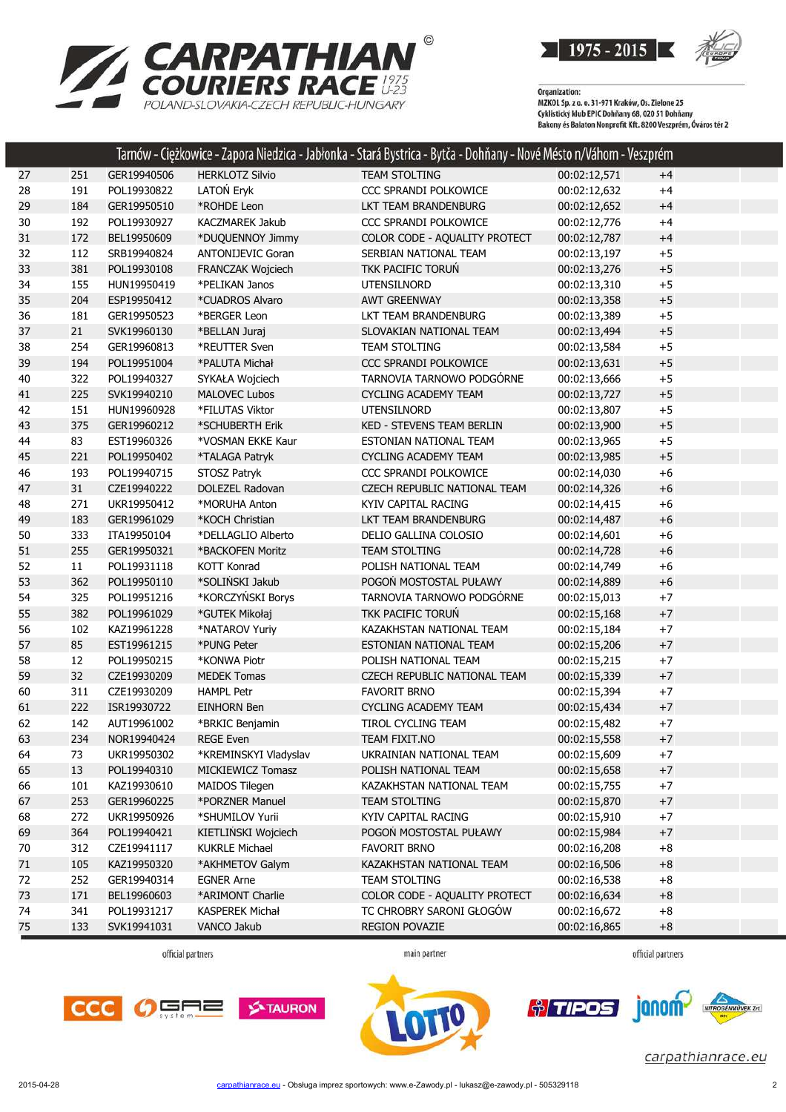

Organization:<br>MZKOL Sp. z o. o. 31-971 Kraków, Os. Zielone 25<br>MZKOL Sp. z o. o. 31-971 Kraków, Os. Zielone 25 Cyklistický klub EPIC Dohňany 68, 020 51 Dohňany Bakony és Balaton Nonprofit Kft. 8200 Veszprém, Óváros tér 2

|    |     |             |                          | Tarnów - Ciężkowice - Zapora Niedzica - Jabłonka - Stará Bystrica - Bytča - Dohňany - Nové Mésto n/Váhom - Veszprém |              |      |  |
|----|-----|-------------|--------------------------|---------------------------------------------------------------------------------------------------------------------|--------------|------|--|
| 27 | 251 | GER19940506 | <b>HERKLOTZ Silvio</b>   | <b>TEAM STOLTING</b>                                                                                                | 00:02:12,571 | $+4$ |  |
| 28 | 191 | POL19930822 | LATOŃ Eryk               | CCC SPRANDI POLKOWICE                                                                                               | 00:02:12,632 | $+4$ |  |
| 29 | 184 | GER19950510 | *ROHDE Leon              | LKT TEAM BRANDENBURG                                                                                                | 00:02:12,652 | $+4$ |  |
| 30 | 192 | POL19930927 | <b>KACZMAREK Jakub</b>   | CCC SPRANDI POLKOWICE                                                                                               | 00:02:12,776 | $+4$ |  |
| 31 | 172 | BEL19950609 | *DUQUENNOY Jimmy         | COLOR CODE - AQUALITY PROTECT                                                                                       | 00:02:12,787 | $+4$ |  |
| 32 | 112 | SRB19940824 | <b>ANTONIJEVIC Goran</b> | SERBIAN NATIONAL TEAM                                                                                               | 00:02:13,197 | $+5$ |  |
| 33 | 381 | POL19930108 | FRANCZAK Wojciech        | TKK PACIFIC TORUŃ                                                                                                   | 00:02:13,276 | $+5$ |  |
| 34 | 155 | HUN19950419 | *PELIKAN Janos           | UTENSILNORD                                                                                                         | 00:02:13,310 | $+5$ |  |
| 35 | 204 | ESP19950412 | *CUADROS Alvaro          | <b>AWT GREENWAY</b>                                                                                                 | 00:02:13,358 | $+5$ |  |
| 36 | 181 | GER19950523 | *BERGER Leon             | LKT TEAM BRANDENBURG                                                                                                | 00:02:13,389 | $+5$ |  |
| 37 | 21  | SVK19960130 | *BELLAN Juraj            | SLOVAKIAN NATIONAL TEAM                                                                                             | 00:02:13,494 | $+5$ |  |
| 38 | 254 | GER19960813 | *REUTTER Sven            | <b>TEAM STOLTING</b>                                                                                                | 00:02:13,584 | $+5$ |  |
| 39 | 194 | POL19951004 | *PALUTA Michał           | CCC SPRANDI POLKOWICE                                                                                               | 00:02:13,631 | $+5$ |  |
| 40 | 322 | POL19940327 | SYKAŁA Wojciech          | TARNOVIA TARNOWO PODGÓRNE                                                                                           | 00:02:13,666 | $+5$ |  |
| 41 | 225 | SVK19940210 | <b>MALOVEC Lubos</b>     | <b>CYCLING ACADEMY TEAM</b>                                                                                         | 00:02:13,727 | $+5$ |  |
| 42 | 151 | HUN19960928 | *FILUTAS Viktor          | <b>UTENSILNORD</b>                                                                                                  | 00:02:13,807 | $+5$ |  |
| 43 | 375 | GER19960212 | *SCHUBERTH Erik          | <b>KED - STEVENS TEAM BERLIN</b>                                                                                    | 00:02:13,900 | $+5$ |  |
| 44 | 83  | EST19960326 | *VOSMAN EKKE Kaur        | ESTONIAN NATIONAL TEAM                                                                                              | 00:02:13,965 | $+5$ |  |
| 45 | 221 | POL19950402 | *TALAGA Patryk           | <b>CYCLING ACADEMY TEAM</b>                                                                                         | 00:02:13,985 | $+5$ |  |
| 46 | 193 | POL19940715 | STOSZ Patryk             | CCC SPRANDI POLKOWICE                                                                                               | 00:02:14,030 | $+6$ |  |
| 47 | 31  | CZE19940222 | <b>DOLEZEL Radovan</b>   | <b>CZECH REPUBLIC NATIONAL TEAM</b>                                                                                 | 00:02:14,326 | $+6$ |  |
| 48 | 271 | UKR19950412 | *MORUHA Anton            | KYIV CAPITAL RACING                                                                                                 | 00:02:14,415 | $+6$ |  |
| 49 | 183 | GER19961029 | *KOCH Christian          | LKT TEAM BRANDENBURG                                                                                                | 00:02:14,487 | $+6$ |  |
| 50 | 333 | ITA19950104 | *DELLAGLIO Alberto       | DELIO GALLINA COLOSIO                                                                                               | 00:02:14,601 | $+6$ |  |
| 51 | 255 | GER19950321 | *BACKOFEN Moritz         | <b>TEAM STOLTING</b>                                                                                                | 00:02:14,728 | $+6$ |  |
| 52 | 11  | POL19931118 | <b>KOTT Konrad</b>       | POLISH NATIONAL TEAM                                                                                                | 00:02:14,749 | $+6$ |  |
| 53 | 362 | POL19950110 | *SOLIŃSKI Jakub          | POGOŃ MOSTOSTAL PUŁAWY                                                                                              | 00:02:14,889 | $+6$ |  |
| 54 | 325 | POL19951216 | *KORCZYŃSKI Borys        | TARNOVIA TARNOWO PODGÓRNE                                                                                           | 00:02:15,013 | $+7$ |  |
| 55 | 382 | POL19961029 | *GUTEK Mikołaj           | TKK PACIFIC TORUN                                                                                                   | 00:02:15,168 | $+7$ |  |
| 56 | 102 | KAZ19961228 | *NATAROV Yuriy           | KAZAKHSTAN NATIONAL TEAM                                                                                            | 00:02:15,184 | $+7$ |  |
| 57 | 85  | EST19961215 | *PUNG Peter              | ESTONIAN NATIONAL TEAM                                                                                              | 00:02:15,206 | $+7$ |  |
| 58 | 12  | POL19950215 | *KONWA Piotr             | POLISH NATIONAL TEAM                                                                                                | 00:02:15,215 | $+7$ |  |
| 59 | 32  | CZE19930209 | <b>MEDEK Tomas</b>       | CZECH REPUBLIC NATIONAL TEAM                                                                                        | 00:02:15,339 | $+7$ |  |
| 60 | 311 | CZE19930209 | <b>HAMPL Petr</b>        | <b>FAVORIT BRNO</b>                                                                                                 | 00:02:15,394 | $+7$ |  |
| 61 | 222 | ISR19930722 | <b>EINHORN Ben</b>       | <b>CYCLING ACADEMY TEAM</b>                                                                                         | 00:02:15,434 | $+7$ |  |
| 62 | 142 | AUT19961002 | *BRKIC Benjamin          | TIROL CYCLING TEAM                                                                                                  | 00:02:15,482 | $+7$ |  |
| 63 | 234 | NOR19940424 | <b>REGE Even</b>         | TEAM FIXIT.NO                                                                                                       | 00:02:15,558 | +7   |  |
| 64 | 73  | UKR19950302 | *KREMINSKYI Vladyslav    | UKRAINIAN NATIONAL TEAM                                                                                             | 00:02:15,609 | $+7$ |  |
| 65 | 13  | POL19940310 | MICKIEWICZ Tomasz        | POLISH NATIONAL TEAM                                                                                                | 00:02:15,658 | $+7$ |  |
| 66 | 101 | KAZ19930610 | MAIDOS Tilegen           | KAZAKHSTAN NATIONAL TEAM                                                                                            | 00:02:15,755 | $+7$ |  |
| 67 | 253 | GER19960225 | *PORZNER Manuel          | <b>TEAM STOLTING</b>                                                                                                | 00:02:15,870 | $+7$ |  |
| 68 | 272 | UKR19950926 | *SHUMILOV Yurii          | KYIV CAPITAL RACING                                                                                                 | 00:02:15,910 | $+7$ |  |
| 69 | 364 | POL19940421 | KIETLIŃSKI Wojciech      | POGOŃ MOSTOSTAL PUŁAWY                                                                                              | 00:02:15,984 | $+7$ |  |
| 70 | 312 | CZE19941117 | <b>KUKRLE Michael</b>    | <b>FAVORIT BRNO</b>                                                                                                 | 00:02:16,208 | $+8$ |  |
| 71 | 105 | KAZ19950320 | *AKHMETOV Galym          | KAZAKHSTAN NATIONAL TEAM                                                                                            | 00:02:16,506 | $+8$ |  |
| 72 | 252 | GER19940314 | <b>EGNER Arne</b>        | TEAM STOLTING                                                                                                       | 00:02:16,538 | $+8$ |  |
| 73 | 171 | BEL19960603 | *ARIMONT Charlie         | COLOR CODE - AQUALITY PROTECT                                                                                       | 00:02:16,634 | $+8$ |  |
| 74 | 341 | POL19931217 | <b>KASPEREK Michał</b>   | TC CHROBRY SARONI GŁOGÓW                                                                                            | 00:02:16,672 | $+8$ |  |
| 75 | 133 | SVK19941031 | VANCO Jakub              | <b>REGION POVAZIE</b>                                                                                               | 00:02:16,865 | $+8$ |  |
|    |     |             |                          |                                                                                                                     |              |      |  |

 $^{\copyright}$ 

**RPATHIAN**<br>RIERS RACE

POLAND-SLOVAKIA-CZECH REPUBLIC-HUNGARY

**CA** 

official partners

main partner

official partners







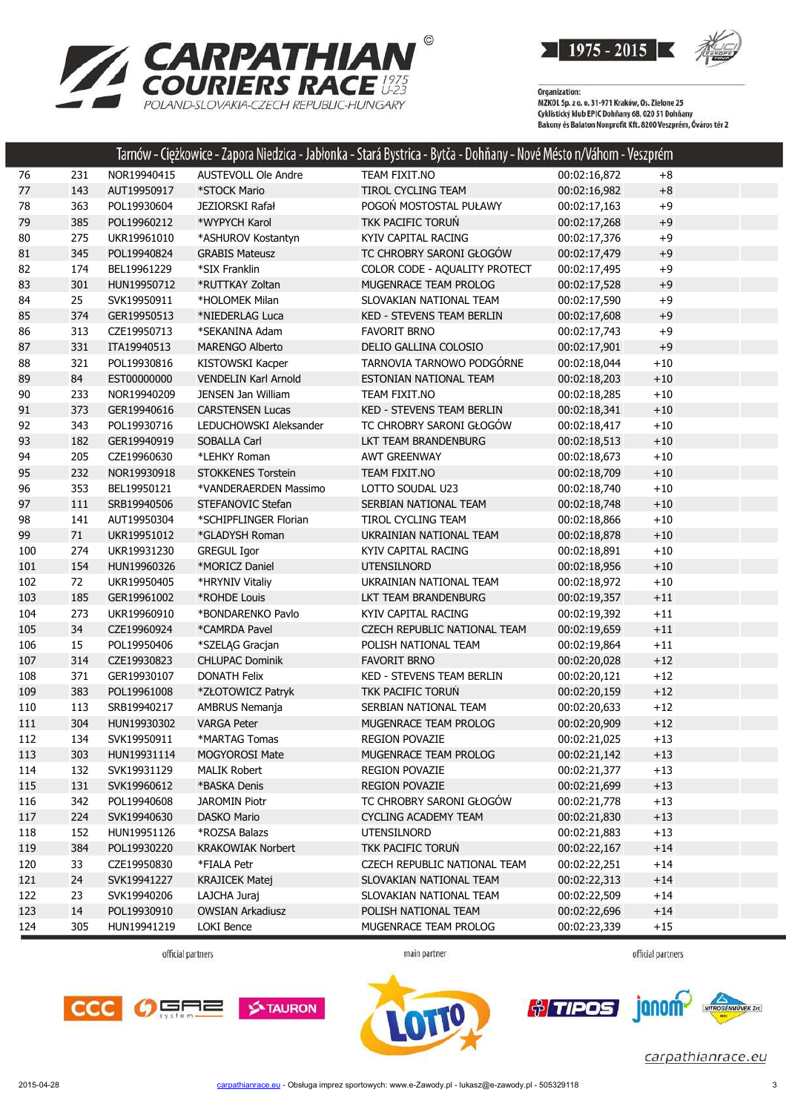



|     |     |             |                             | Tarnów - Ciężkowice - Zapora Niedzica - Jabłonka - Stará Bystrica - Bytča - Dohňany - Nové Mésto n/Váhom - Veszprém |              |         |
|-----|-----|-------------|-----------------------------|---------------------------------------------------------------------------------------------------------------------|--------------|---------|
| 76  | 231 | NOR19940415 | AUSTEVOLL Ole Andre         | TEAM FIXIT.NO                                                                                                       | 00:02:16,872 | $+8$    |
| 77  | 143 | AUT19950917 | *STOCK Mario                | TIROL CYCLING TEAM                                                                                                  | 00:02:16,982 | $+8$    |
| 78  | 363 | POL19930604 | JEZIORSKI Rafał             | POGOŃ MOSTOSTAL PUŁAWY                                                                                              | 00:02:17,163 | $+9$    |
| 79  | 385 | POL19960212 | *WYPYCH Karol               | TKK PACIFIC TORUN                                                                                                   | 00:02:17,268 | $+9$    |
| 80  | 275 | UKR19961010 | *ASHUROV Kostantyn          | KYIV CAPITAL RACING                                                                                                 | 00:02:17,376 | $+9$    |
| 81  | 345 | POL19940824 | <b>GRABIS Mateusz</b>       | TC CHROBRY SARONI GŁOGÓW                                                                                            | 00:02:17,479 | $+9$    |
| 82  | 174 | BEL19961229 | *SIX Franklin               | COLOR CODE - AQUALITY PROTECT                                                                                       | 00:02:17,495 | $+9$    |
| 83  | 301 | HUN19950712 | *RUTTKAY Zoltan             | MUGENRACE TEAM PROLOG                                                                                               | 00:02:17,528 | $+9$    |
| 84  | 25  | SVK19950911 | *HOLOMEK Milan              | SLOVAKIAN NATIONAL TEAM                                                                                             | 00:02:17,590 | $+9$    |
| 85  | 374 | GER19950513 | *NIEDERLAG Luca             | <b>KED - STEVENS TEAM BERLIN</b>                                                                                    | 00:02:17,608 | $+9$    |
| 86  | 313 | CZE19950713 | *SEKANINA Adam              | <b>FAVORIT BRNO</b>                                                                                                 | 00:02:17,743 | $+9$    |
| 87  | 331 | ITA19940513 | <b>MARENGO Alberto</b>      | DELIO GALLINA COLOSIO                                                                                               | 00:02:17,901 | $+9$    |
| 88  | 321 | POL19930816 | <b>KISTOWSKI Kacper</b>     | TARNOVIA TARNOWO PODGÓRNE                                                                                           | 00:02:18,044 | $+10$   |
| 89  | 84  | EST00000000 | <b>VENDELIN Karl Arnold</b> | ESTONIAN NATIONAL TEAM                                                                                              | 00:02:18,203 | $+10$   |
| 90  | 233 | NOR19940209 | JENSEN Jan William          | TEAM FIXIT.NO                                                                                                       | 00:02:18,285 | $+10$   |
| 91  | 373 | GER19940616 | <b>CARSTENSEN Lucas</b>     | KED - STEVENS TEAM BERLIN                                                                                           | 00:02:18,341 | $+10$   |
| 92  | 343 | POL19930716 | LEDUCHOWSKI Aleksander      | TC CHROBRY SARONI GŁOGÓW                                                                                            | 00:02:18,417 | $+10$   |
| 93  | 182 | GER19940919 | SOBALLA Carl                | LKT TEAM BRANDENBURG                                                                                                | 00:02:18,513 | $+10$   |
| 94  | 205 | CZE19960630 | *LEHKY Roman                | <b>AWT GREENWAY</b>                                                                                                 | 00:02:18,673 | $+10$   |
| 95  | 232 | NOR19930918 | <b>STOKKENES Torstein</b>   | TEAM FIXIT.NO                                                                                                       | 00:02:18,709 | $+10$   |
| 96  | 353 | BEL19950121 | *VANDERAERDEN Massimo       | LOTTO SOUDAL U23                                                                                                    | 00:02:18,740 | $+10$   |
| 97  | 111 | SRB19940506 | STEFANOVIC Stefan           | SERBIAN NATIONAL TEAM                                                                                               | 00:02:18,748 | $+10$   |
| 98  | 141 | AUT19950304 | *SCHIPFLINGER Florian       | TIROL CYCLING TEAM                                                                                                  | 00:02:18,866 | $+10$   |
| 99  | 71  | UKR19951012 | *GLADYSH Roman              | UKRAINIAN NATIONAL TEAM                                                                                             | 00:02:18,878 | $+10$   |
| 100 | 274 | UKR19931230 | <b>GREGUL Igor</b>          | KYIV CAPITAL RACING                                                                                                 | 00:02:18,891 | $+10$   |
| 101 | 154 | HUN19960326 | *MORICZ Daniel              | <b>UTENSILNORD</b>                                                                                                  | 00:02:18,956 | $+10$   |
| 102 | 72  | UKR19950405 | *HRYNIV Vitaliy             | UKRAINIAN NATIONAL TEAM                                                                                             | 00:02:18,972 | $+10$   |
| 103 | 185 | GER19961002 | *ROHDE Louis                | LKT TEAM BRANDENBURG                                                                                                | 00:02:19,357 | $+11$   |
| 104 | 273 | UKR19960910 | *BONDARENKO Pavlo           | KYIV CAPITAL RACING                                                                                                 | 00:02:19,392 | $+11$   |
| 105 | 34  | CZE19960924 | *CAMRDA Pavel               | <b>CZECH REPUBLIC NATIONAL TEAM</b>                                                                                 | 00:02:19,659 | $+11\,$ |
| 106 | 15  | POL19950406 | *SZELĄG Gracjan             | POLISH NATIONAL TEAM                                                                                                | 00:02:19,864 | $+11$   |
| 107 | 314 | CZE19930823 | <b>CHLUPAC Dominik</b>      | <b>FAVORIT BRNO</b>                                                                                                 | 00:02:20,028 | $+12$   |
| 108 | 371 | GER19930107 | <b>DONATH Felix</b>         | KED - STEVENS TEAM BERLIN                                                                                           | 00:02:20,121 | $+12$   |
| 109 | 383 | POL19961008 | *ZŁOTOWICZ Patryk           | TKK PACIFIC TORUŃ                                                                                                   | 00:02:20,159 | $+12$   |
| 110 | 113 | SRB19940217 | AMBRUS Nemanja              | SERBIAN NATIONAL TEAM                                                                                               | 00:02:20,633 | $+12$   |
| 111 | 304 | HUN19930302 | <b>VARGA Peter</b>          | MUGENRACE TEAM PROLOG                                                                                               | 00:02:20,909 | $+12$   |
| 112 | 134 | SVK19950911 | *MARTAG Tomas               | REGION POVAZIE                                                                                                      | 00:02:21,025 | $+13$   |
| 113 | 303 | HUN19931114 | <b>MOGYOROSI Mate</b>       | MUGENRACE TEAM PROLOG                                                                                               | 00:02:21,142 | $+13$   |
| 114 | 132 | SVK19931129 | <b>MALIK Robert</b>         | <b>REGION POVAZIE</b>                                                                                               | 00:02:21,377 | $+13$   |
| 115 | 131 | SVK19960612 | *BASKA Denis                | <b>REGION POVAZIE</b>                                                                                               | 00:02:21,699 | $+13$   |
| 116 | 342 | POL19940608 | <b>JAROMIN Piotr</b>        | TC CHROBRY SARONI GŁOGÓW                                                                                            | 00:02:21,778 | $+13$   |
| 117 | 224 | SVK19940630 | <b>DASKO Mario</b>          | <b>CYCLING ACADEMY TEAM</b>                                                                                         | 00:02:21,830 | $+13$   |
| 118 | 152 | HUN19951126 | *ROZSA Balazs               | <b>UTENSILNORD</b>                                                                                                  | 00:02:21,883 | $+13$   |
| 119 | 384 | POL19930220 | <b>KRAKOWIAK Norbert</b>    | TKK PACIFIC TORUN                                                                                                   | 00:02:22,167 | $+14$   |
| 120 | 33  | CZE19950830 | *FIALA Petr                 | CZECH REPUBLIC NATIONAL TEAM                                                                                        | 00:02:22,251 | $+14$   |
| 121 | 24  | SVK19941227 | <b>KRAJICEK Matej</b>       | SLOVAKIAN NATIONAL TEAM                                                                                             | 00:02:22,313 | $+14$   |
| 122 | 23  | SVK19940206 | LAJCHA Juraj                | SLOVAKIAN NATIONAL TEAM                                                                                             | 00:02:22,509 | $+14$   |
| 123 | 14  | POL19930910 | <b>OWSIAN Arkadiusz</b>     | POLISH NATIONAL TEAM                                                                                                | 00:02:22,696 | $+14$   |
| 124 | 305 | HUN19941219 | LOKI Bence                  | MUGENRACE TEAM PROLOG                                                                                               | 00:02:23,339 | $+15$   |

official partners

main partner

official partners







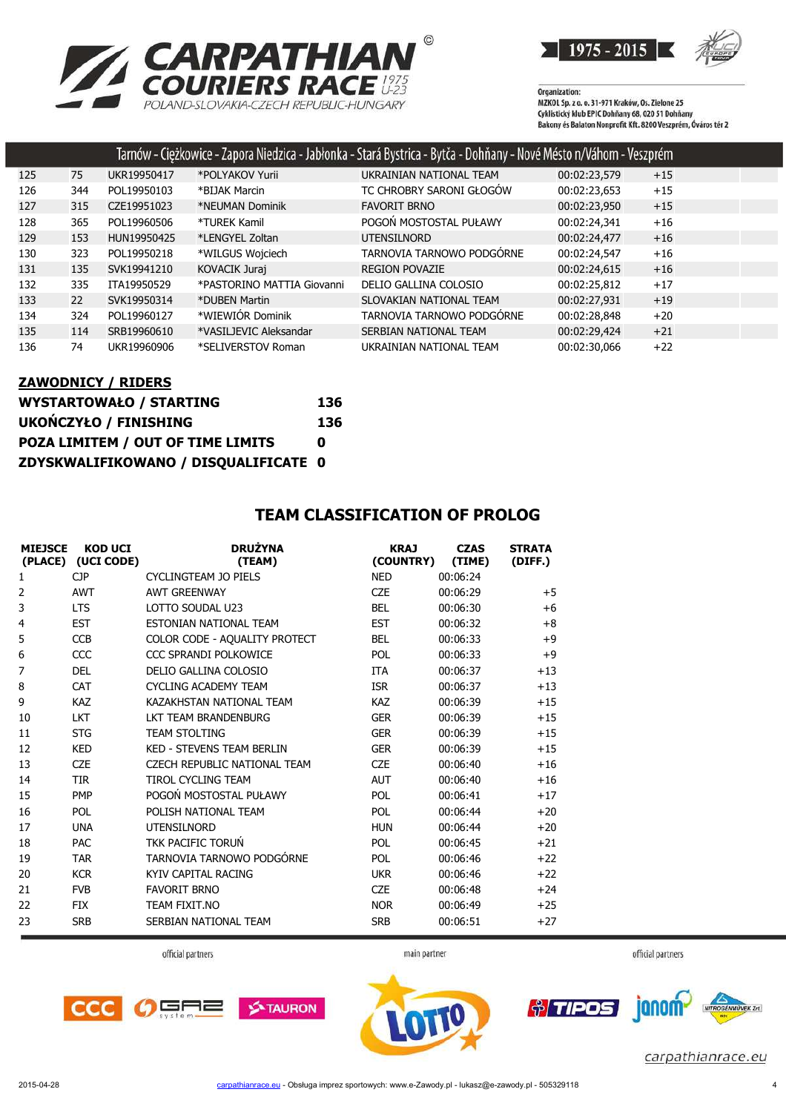

Organization:<br>MZKOL Sp. z o. o. 31-971 Kraków, Os. Zielone 25<br>MZKOL Sp. z o. o. 31-971 Kraków, Os. Zielone 25 Cyklistický klub EPIC Dohňany 68, 020 51 Dohňany<br>Bakony és Balaton Nonprofit Kft. 8200 Veszprém, Óváros tér 2

|     |     |             |                            | Tarnów - Ciężkowice - Zapora Niedzica - Jabłonka - Stará Bystrica - Bytča - Dohňany - Nové Mésto n/Váhom - Veszprém |              |       |  |
|-----|-----|-------------|----------------------------|---------------------------------------------------------------------------------------------------------------------|--------------|-------|--|
| 125 | 75  | UKR19950417 | *POLYAKOV Yurii            | UKRAINIAN NATIONAL TEAM                                                                                             | 00:02:23,579 | $+15$ |  |
| 126 | 344 | POL19950103 | *BIJAK Marcin              | TC CHROBRY SARONI GŁOGÓW                                                                                            | 00:02:23,653 | $+15$ |  |
| 127 | 315 | CZE19951023 | *NEUMAN Dominik            | <b>FAVORIT BRNO</b>                                                                                                 | 00:02:23,950 | $+15$ |  |
| 128 | 365 | POL19960506 | *TUREK Kamil               | POGOŃ MOSTOSTAL PUŁAWY                                                                                              | 00:02:24.341 | $+16$ |  |
| 129 | 153 | HUN19950425 | *LENGYEL Zoltan            | <b>UTENSILNORD</b>                                                                                                  | 00:02:24.477 | $+16$ |  |
| 130 | 323 | POL19950218 | *WILGUS Wojciech           | TARNOVIA TARNOWO PODGÓRNE                                                                                           | 00:02:24,547 | $+16$ |  |
| 131 | 135 | SVK19941210 | KOVACIK Juraj              | <b>REGION POVAZIE</b>                                                                                               | 00:02:24,615 | $+16$ |  |
| 132 | 335 | ITA19950529 | *PASTORINO MATTIA Giovanni | DELIO GALLINA COLOSIO                                                                                               | 00:02:25,812 | $+17$ |  |
| 133 | 22  | SVK19950314 | *DUBEN Martin              | SLOVAKIAN NATIONAL TEAM                                                                                             | 00:02:27.931 | $+19$ |  |
| 134 | 324 | POL19960127 | *WIEWIÓR Dominik           | TARNOVIA TARNOWO PODGÓRNE                                                                                           | 00:02:28,848 | $+20$ |  |
| 135 | 114 | SRB19960610 | *VASILJEVIC Aleksandar     | SERBIAN NATIONAL TEAM                                                                                               | 00:02:29,424 | $+21$ |  |
| 136 | 74  | UKR19960906 | *SELIVERSTOV Roman         | UKRAINIAN NATIONAL TEAM                                                                                             | 00:02:30.066 | $+22$ |  |

#### **ZAWODNICY / RIDERS**

| <b>WYSTARTOWAŁO / STARTING</b>       | 136 |
|--------------------------------------|-----|
| <b>UKOŃCZYŁO / FINISHING</b>         | 136 |
| POZA LIMITEM / OUT OF TIME LIMITS    | n   |
| ZDYSKWALIFIKOWANO / DISQUALIFICATE 0 |     |

| <b>MIEJSCE</b> | <b>KOD UCI</b><br>(PLACE) (UCI CODE) | <b>DRUŻYNA</b><br>(TEAM)         | <b>KRAJ</b><br>(COUNTRY) | <b>CZAS</b><br>(TIME) | <b>STRATA</b><br>(DIFF.) |
|----------------|--------------------------------------|----------------------------------|--------------------------|-----------------------|--------------------------|
| 1              | <b>CJP</b>                           | CYCLINGTEAM JO PIELS             | <b>NED</b>               | 00:06:24              |                          |
| 2              | <b>AWT</b>                           | <b>AWT GREENWAY</b>              | <b>CZE</b>               | 00:06:29              | $+5$                     |
| 3              | <b>LTS</b>                           | LOTTO SOUDAL U23                 | <b>BEL</b>               | 00:06:30              | $+6$                     |
| 4              | <b>EST</b>                           | ESTONIAN NATIONAL TEAM           | <b>EST</b>               | 00:06:32              | $+8$                     |
| 5              | <b>CCB</b>                           | COLOR CODE - AQUALITY PROTECT    | <b>BEL</b>               | 00:06:33              | $+9$                     |
| 6              | CCC                                  | CCC SPRANDI POLKOWICE            | <b>POL</b>               | 00:06:33              | $+9$                     |
| 7              | <b>DEL</b>                           | DELIO GALLINA COLOSIO            | <b>ITA</b>               | 00:06:37              | $+13$                    |
| 8              | <b>CAT</b>                           | <b>CYCLING ACADEMY TEAM</b>      | <b>ISR</b>               | 00:06:37              | $+13$                    |
| 9              | <b>KAZ</b>                           | KAZAKHSTAN NATIONAL TEAM         | <b>KAZ</b>               | 00:06:39              | $+15$                    |
| 10             | <b>LKT</b>                           | LKT TEAM BRANDENBURG             | <b>GER</b>               | 00:06:39              | $+15$                    |
| 11             | <b>STG</b>                           | <b>TEAM STOLTING</b>             | <b>GER</b>               | 00:06:39              | $+15$                    |
| 12             | <b>KED</b>                           | <b>KED - STEVENS TEAM BERLIN</b> | <b>GER</b>               | 00:06:39              | $+15$                    |
| 13             | <b>CZE</b>                           | CZECH REPUBLIC NATIONAL TEAM     | <b>CZE</b>               | 00:06:40              | $+16$                    |
| 14             | <b>TIR</b>                           | <b>TIROL CYCLING TEAM</b>        | <b>AUT</b>               | 00:06:40              | $+16$                    |
| 15             | PMP                                  | POGOŃ MOSTOSTAL PUŁAWY           | <b>POL</b>               | 00:06:41              | $+17$                    |
| 16             | <b>POL</b>                           | POLISH NATIONAL TEAM             | <b>POL</b>               | 00:06:44              | $+20$                    |
| 17             | <b>UNA</b>                           | <b>UTENSILNORD</b>               | <b>HUN</b>               | 00:06:44              | $+20$                    |
| 18             | <b>PAC</b>                           | TKK PACIFIC TORUN                | <b>POL</b>               | 00:06:45              | $+21$                    |
| 19             | <b>TAR</b>                           | TARNOVIA TARNOWO PODGÓRNE        | <b>POL</b>               | 00:06:46              | $+22$                    |
| 20             | <b>KCR</b>                           | KYIV CAPITAL RACING              | <b>UKR</b>               | 00:06:46              | $+22$                    |
| 21             | <b>FVB</b>                           | <b>FAVORIT BRNO</b>              | <b>CZE</b>               | 00:06:48              | $+24$                    |
| 22             | <b>FIX</b>                           | TEAM FIXIT.NO                    | <b>NOR</b>               | 00:06:49              | $+25$                    |
| 23             | <b>SRB</b>                           | SERBIAN NATIONAL TEAM            | <b>SRB</b>               | 00:06:51              | $+27$                    |

#### **TEAM CLASSIFICATION OF PROLOG**

official partners



official partners





carpathianrace.eu

main partner

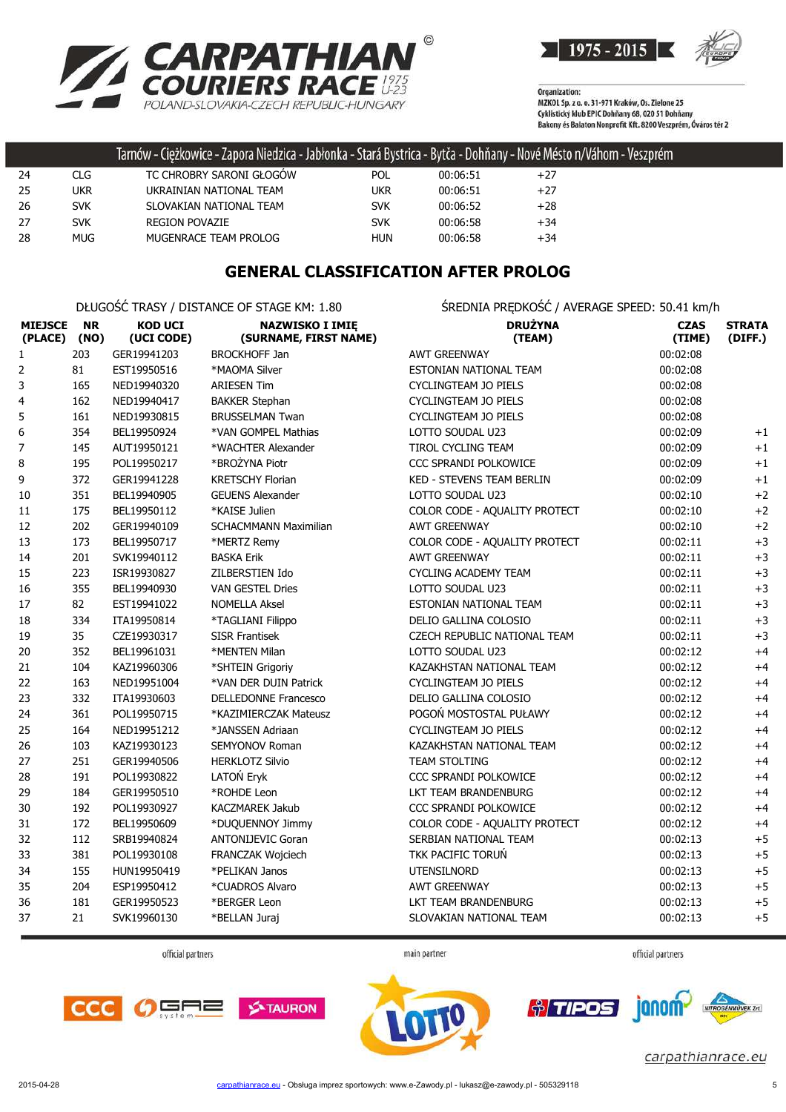

1975 - 2015

Organization:<br>MZKOL Sp. z o. o. 31-971 Kraków, Os. Zielone 25<br>MZKOL Sp. z o. o. 31-971 Kraków, Os. Zielone 25 Cyklistický klub EPIC Dohňany 68, 020 51 Dohňany<br>Bakony és Balaton Nonprofit Kft. 8200 Veszprém, Óváros tér 2

|    |            | Tarnów - Ciężkowice - Zapora Niedzica - Jabłonka - Stará Bystrica - Bytča - Dohňany - Nové Mésto n/Váhom - Veszprém |            |          |       |  |
|----|------------|---------------------------------------------------------------------------------------------------------------------|------------|----------|-------|--|
| 24 | CLG.       | TC CHROBRY SARONI GŁOGÓW                                                                                            | <b>POL</b> | 00:06:51 | $+27$ |  |
| 25 | ukr        | UKRAINIAN NATIONAL TEAM                                                                                             | ukr        | 00:06:51 | $+27$ |  |
| 26 | <b>SVK</b> | SLOVAKIAN NATIONAL TEAM                                                                                             | <b>SVK</b> | 00:06:52 | $+28$ |  |
| 27 | <b>SVK</b> | <b>REGION POVAZIE</b>                                                                                               | <b>SVK</b> | 00:06:58 | $+34$ |  |
| 28 | MUG I      | MUGENRACE TEAM PROLOG                                                                                               | <b>HUN</b> | 00:06:58 | $+34$ |  |

### **GENERAL CLASSIFICATION AFTER PROLOG**

DŁUGOŚĆ TRASY / DISTANCE OF STAGE KM: 1.80 ŚREDNIA PRĘDKOŚĆ / AVERAGE SPEED: 50.41 km/h

| <b>MIEJSCE</b><br>(PLACE) | <b>NR</b><br>(NO) | <b>KOD UCI</b><br>(UCI CODE) | <b>NAZWISKO I IMIĘ</b><br>(SURNAME, FIRST NAME) | <b>DRUŻYNA</b><br>(TEAM)         | <b>CZAS</b><br>(TIME) | <b>STRATA</b><br>(DIFF.) |
|---------------------------|-------------------|------------------------------|-------------------------------------------------|----------------------------------|-----------------------|--------------------------|
| $\mathbf{1}$              | 203               | GER19941203                  | <b>BROCKHOFF Jan</b>                            | <b>AWT GREENWAY</b>              | 00:02:08              |                          |
| 2                         | 81                | EST19950516                  | *MAOMA Silver                                   | ESTONIAN NATIONAL TEAM           | 00:02:08              |                          |
| 3                         | 165               | NED19940320                  | <b>ARIESEN Tim</b>                              | CYCLINGTEAM JO PIELS             | 00:02:08              |                          |
| 4                         | 162               | NED19940417                  | <b>BAKKER Stephan</b>                           | CYCLINGTEAM JO PIELS             | 00:02:08              |                          |
| 5                         | 161               | NED19930815                  | <b>BRUSSELMAN Twan</b>                          | CYCLINGTEAM JO PIELS             | 00:02:08              |                          |
| $\boldsymbol{6}$          | 354               | BEL19950924                  | *VAN GOMPEL Mathias                             | LOTTO SOUDAL U23                 | 00:02:09              | $+1$                     |
| 7                         | 145               | AUT19950121                  | *WACHTER Alexander                              | TIROL CYCLING TEAM               | 00:02:09              | $+1$                     |
| 8                         | 195               | POL19950217                  | *BROŻYNA Piotr                                  | CCC SPRANDI POLKOWICE            | 00:02:09              | $+1$                     |
| 9                         | 372               | GER19941228                  | <b>KRETSCHY Florian</b>                         | <b>KED - STEVENS TEAM BERLIN</b> | 00:02:09              | $+1$                     |
| 10                        | 351               | BEL19940905                  | <b>GEUENS Alexander</b>                         | LOTTO SOUDAL U23                 | 00:02:10              | $+2$                     |
| 11                        | 175               | BEL19950112                  | *KAISE Julien                                   | COLOR CODE - AQUALITY PROTECT    | 00:02:10              | $+2$                     |
| 12                        | 202               | GER19940109                  | <b>SCHACMMANN Maximilian</b>                    | <b>AWT GREENWAY</b>              | 00:02:10              | $+2$                     |
| 13                        | 173               | BEL19950717                  | *MERTZ Remy                                     | COLOR CODE - AQUALITY PROTECT    | 00:02:11              | $+3$                     |
| 14                        | 201               | SVK19940112                  | <b>BASKA Erik</b>                               | <b>AWT GREENWAY</b>              | 00:02:11              | $+3$                     |
| 15                        | 223               | ISR19930827                  | ZILBERSTIEN Ido                                 | <b>CYCLING ACADEMY TEAM</b>      | 00:02:11              | $+3$                     |
| 16                        | 355               | BEL19940930                  | <b>VAN GESTEL Dries</b>                         | LOTTO SOUDAL U23                 | 00:02:11              | $+3$                     |
| 17                        | 82                | EST19941022                  | <b>NOMELLA Aksel</b>                            | ESTONIAN NATIONAL TEAM           | 00:02:11              | $+3$                     |
| 18                        | 334               | ITA19950814                  | *TAGLIANI Filippo                               | DELIO GALLINA COLOSIO            | 00:02:11              | $+3$                     |
| 19                        | 35                | CZE19930317                  | <b>SISR Frantisek</b>                           | CZECH REPUBLIC NATIONAL TEAM     | 00:02:11              | $+3$                     |
| 20                        | 352               | BEL19961031                  | *MENTEN Milan                                   | LOTTO SOUDAL U23                 | 00:02:12              | $+4$                     |
| 21                        | 104               | KAZ19960306                  | *SHTEIN Grigoriy                                | KAZAKHSTAN NATIONAL TEAM         | 00:02:12              | $+4$                     |
| 22                        | 163               | NED19951004                  | *VAN DER DUIN Patrick                           | CYCLINGTEAM JO PIELS             | 00:02:12              | $+4$                     |
| 23                        | 332               | ITA19930603                  | <b>DELLEDONNE Francesco</b>                     | DELIO GALLINA COLOSIO            | 00:02:12              | $+4$                     |
| 24                        | 361               | POL19950715                  | *KAZIMIERCZAK Mateusz                           | POGOŃ MOSTOSTAL PUŁAWY           | 00:02:12              | $+4$                     |
| 25                        | 164               | NED19951212                  | *JANSSEN Adriaan                                | <b>CYCLINGTEAM JO PIELS</b>      | 00:02:12              | $+4$                     |
| 26                        | 103               | KAZ19930123                  | <b>SEMYONOV Roman</b>                           | KAZAKHSTAN NATIONAL TEAM         | 00:02:12              | $+4$                     |
| 27                        | 251               | GER19940506                  | <b>HERKLOTZ Silvio</b>                          | <b>TEAM STOLTING</b>             | 00:02:12              | $+4$                     |
| 28                        | 191               | POL19930822                  | LATOŃ Eryk                                      | CCC SPRANDI POLKOWICE            | 00:02:12              | $+4$                     |
| 29                        | 184               | GER19950510                  | *ROHDE Leon                                     | LKT TEAM BRANDENBURG             | 00:02:12              | $+4$                     |
| 30                        | 192               | POL19930927                  | <b>KACZMAREK Jakub</b>                          | CCC SPRANDI POLKOWICE            | 00:02:12              | $+4$                     |
| 31                        | 172               | BEL19950609                  | *DUQUENNOY Jimmy                                | COLOR CODE - AQUALITY PROTECT    | 00:02:12              | $+4$                     |
| 32                        | 112               | SRB19940824                  | <b>ANTONIJEVIC Goran</b>                        | SERBIAN NATIONAL TEAM            | 00:02:13              | $+5$                     |
| 33                        | 381               | POL19930108                  | FRANCZAK Wojciech                               | TKK PACIFIC TORUŃ                | 00:02:13              | $+5$                     |
| 34                        | 155               | HUN19950419                  | *PELIKAN Janos                                  | <b>UTENSILNORD</b>               | 00:02:13              | $+5$                     |
| 35                        | 204               | ESP19950412                  | *CUADROS Alvaro                                 | <b>AWT GREENWAY</b>              | 00:02:13              | $+5$                     |
| 36                        | 181               | GER19950523                  | *BERGER Leon                                    | LKT TEAM BRANDENBURG             | 00:02:13              | $+5$                     |
| 37                        | 21                | SVK19960130                  | *BELLAN Juraj                                   | SLOVAKIAN NATIONAL TEAM          | 00:02:13              | $+5$                     |

official partners

main partner

official partners







*<u>o/TIPOS</u>* janom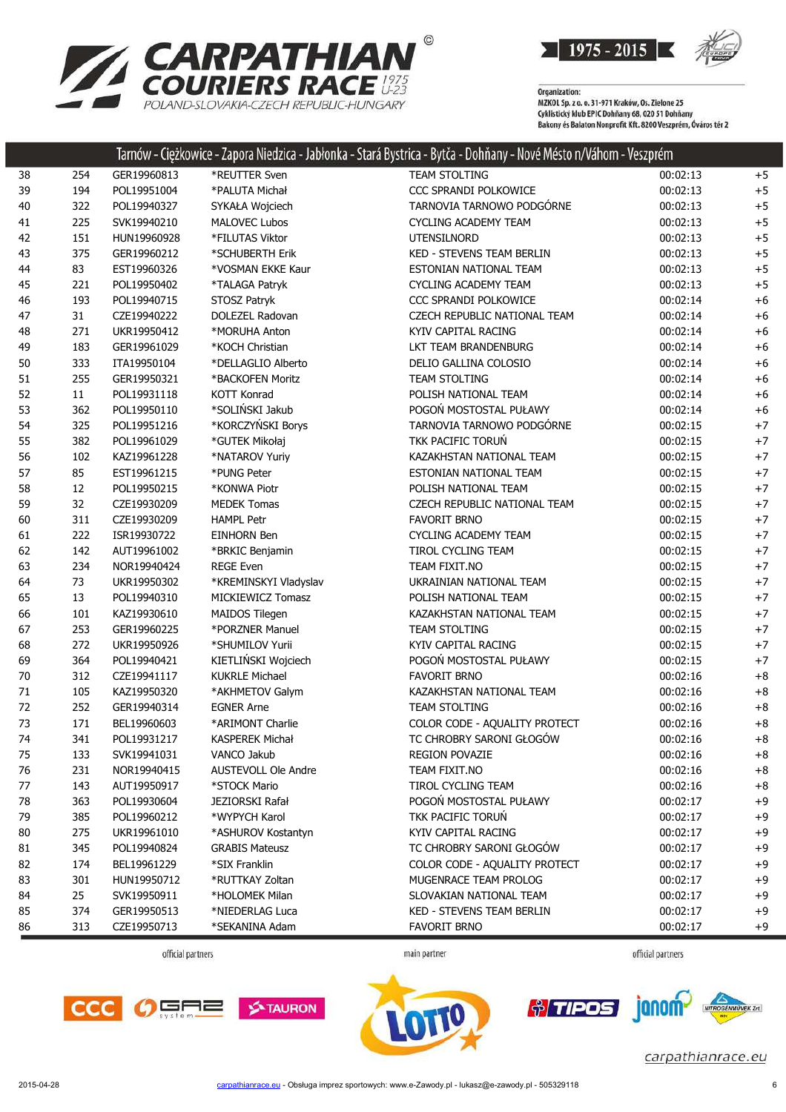

| <b>ZARPATHIAN</b>                        |
|------------------------------------------|
| <b>COURIERS RACE #25</b>                 |
| POI AND-SI OVAKIA-CZECH REPUBLIC-HUNGARY |

|    |     |             |                            | Tarnów - Ciężkowice - Zapora Niedzica - Jabłonka - Stará Bystrica - Bytča - Dohňany - Nové Mésto n/Váhom - Veszprém |          |      |
|----|-----|-------------|----------------------------|---------------------------------------------------------------------------------------------------------------------|----------|------|
| 38 | 254 | GER19960813 | *REUTTER Sven              | TEAM STOLTING                                                                                                       | 00:02:13 | $+5$ |
| 39 | 194 | POL19951004 | *PALUTA Michał             | CCC SPRANDI POLKOWICE                                                                                               | 00:02:13 | $+5$ |
| 40 | 322 | POL19940327 | SYKAŁA Wojciech            | TARNOVIA TARNOWO PODGÓRNE                                                                                           | 00:02:13 | $+5$ |
| 41 | 225 | SVK19940210 | <b>MALOVEC Lubos</b>       | <b>CYCLING ACADEMY TEAM</b>                                                                                         | 00:02:13 | $+5$ |
| 42 | 151 | HUN19960928 | *FILUTAS Viktor            | UTENSILNORD                                                                                                         | 00:02:13 | $+5$ |
| 43 | 375 | GER19960212 | *SCHUBERTH Erik            | KED - STEVENS TEAM BERLIN                                                                                           | 00:02:13 | $+5$ |
| 44 | 83  | EST19960326 | *VOSMAN EKKE Kaur          | ESTONIAN NATIONAL TEAM                                                                                              | 00:02:13 | $+5$ |
| 45 | 221 | POL19950402 | *TALAGA Patryk             | CYCLING ACADEMY TEAM                                                                                                | 00:02:13 | $+5$ |
| 46 | 193 | POL19940715 | STOSZ Patryk               | CCC SPRANDI POLKOWICE                                                                                               | 00:02:14 | $+6$ |
| 47 | 31  | CZE19940222 | DOLEZEL Radovan            | CZECH REPUBLIC NATIONAL TEAM                                                                                        | 00:02:14 | $+6$ |
| 48 | 271 | UKR19950412 | *MORUHA Anton              | KYIV CAPITAL RACING                                                                                                 | 00:02:14 | $+6$ |
| 49 | 183 | GER19961029 | *KOCH Christian            | LKT TEAM BRANDENBURG                                                                                                | 00:02:14 | $+6$ |
| 50 | 333 | ITA19950104 | *DELLAGLIO Alberto         | DELIO GALLINA COLOSIO                                                                                               | 00:02:14 | $+6$ |
| 51 | 255 | GER19950321 | *BACKOFEN Moritz           | TEAM STOLTING                                                                                                       | 00:02:14 | $+6$ |
| 52 | 11  | POL19931118 | <b>KOTT Konrad</b>         | POLISH NATIONAL TEAM                                                                                                | 00:02:14 | $+6$ |
| 53 | 362 | POL19950110 | *SOLIŃSKI Jakub            | POGOŃ MOSTOSTAL PUŁAWY                                                                                              | 00:02:14 | $+6$ |
| 54 | 325 | POL19951216 | *KORCZYŃSKI Borys          | TARNOVIA TARNOWO PODGÓRNE                                                                                           | 00:02:15 | $+7$ |
| 55 | 382 | POL19961029 | *GUTEK Mikołaj             | TKK PACIFIC TORUŃ                                                                                                   | 00:02:15 | $+7$ |
| 56 | 102 | KAZ19961228 | *NATAROV Yuriy             | KAZAKHSTAN NATIONAL TEAM                                                                                            | 00:02:15 | $+7$ |
| 57 | 85  | EST19961215 | *PUNG Peter                | ESTONIAN NATIONAL TEAM                                                                                              | 00:02:15 | $+7$ |
| 58 | 12  | POL19950215 | *KONWA Piotr               | POLISH NATIONAL TEAM                                                                                                | 00:02:15 | $+7$ |
| 59 | 32  | CZE19930209 | <b>MEDEK Tomas</b>         | CZECH REPUBLIC NATIONAL TEAM                                                                                        | 00:02:15 | $+7$ |
| 60 | 311 | CZE19930209 | <b>HAMPL Petr</b>          | <b>FAVORIT BRNO</b>                                                                                                 | 00:02:15 | $+7$ |
| 61 | 222 | ISR19930722 | <b>EINHORN Ben</b>         | <b>CYCLING ACADEMY TEAM</b>                                                                                         | 00:02:15 | $+7$ |
| 62 | 142 | AUT19961002 | *BRKIC Benjamin            | TIROL CYCLING TEAM                                                                                                  | 00:02:15 | $+7$ |
| 63 | 234 | NOR19940424 | <b>REGE Even</b>           | TEAM FIXIT.NO                                                                                                       | 00:02:15 | $+7$ |
| 64 | 73  | UKR19950302 | *KREMINSKYI Vladyslav      | UKRAINIAN NATIONAL TEAM                                                                                             | 00:02:15 | $+7$ |
| 65 | 13  | POL19940310 | MICKIEWICZ Tomasz          | POLISH NATIONAL TEAM                                                                                                | 00:02:15 | $+7$ |
| 66 | 101 | KAZ19930610 | MAIDOS Tilegen             | KAZAKHSTAN NATIONAL TEAM                                                                                            | 00:02:15 | $+7$ |
| 67 | 253 | GER19960225 | *PORZNER Manuel            | TEAM STOLTING                                                                                                       | 00:02:15 | $+7$ |
| 68 | 272 | UKR19950926 | *SHUMILOV Yurii            | KYIV CAPITAL RACING                                                                                                 | 00:02:15 | $+7$ |
| 69 | 364 | POL19940421 | KIETLIŃSKI Wojciech        | POGOŃ MOSTOSTAL PUŁAWY                                                                                              | 00:02:15 | $+7$ |
| 70 | 312 | CZE19941117 | <b>KUKRLE Michael</b>      | <b>FAVORIT BRNO</b>                                                                                                 | 00:02:16 | $+8$ |
| 71 | 105 | KAZ19950320 | *AKHMETOV Galym            | KAZAKHSTAN NATIONAL TEAM                                                                                            | 00:02:16 | $+8$ |
| 72 | 252 | GER19940314 | <b>EGNER Arne</b>          | TEAM STOLTING                                                                                                       | 00:02:16 | $+8$ |
| 73 | 171 | BEL19960603 | *ARIMONT Charlie           | COLOR CODE - AQUALITY PROTECT                                                                                       | 00:02:16 | $+8$ |
| 74 | 341 | POL19931217 | <b>KASPEREK Michał</b>     | TC CHROBRY SARONI GŁOGÓW                                                                                            | 00:02:16 | $+8$ |
| 75 | 133 | SVK19941031 | VANCO Jakub                | <b>REGION POVAZIE</b>                                                                                               | 00:02:16 | $+8$ |
| 76 | 231 | NOR19940415 | <b>AUSTEVOLL Ole Andre</b> | TEAM FIXIT.NO                                                                                                       | 00:02:16 | $+8$ |
| 77 | 143 | AUT19950917 | *STOCK Mario               | TIROL CYCLING TEAM                                                                                                  | 00:02:16 | $+8$ |
| 78 | 363 | POL19930604 | JEZIORSKI Rafał            | POGOŃ MOSTOSTAL PUŁAWY                                                                                              | 00:02:17 | $+9$ |
| 79 | 385 | POL19960212 | *WYPYCH Karol              | TKK PACIFIC TORUŃ                                                                                                   | 00:02:17 | $+9$ |
| 80 | 275 | UKR19961010 | *ASHUROV Kostantyn         | KYIV CAPITAL RACING                                                                                                 | 00:02:17 | $+9$ |
| 81 | 345 | POL19940824 | <b>GRABIS Mateusz</b>      | TC CHROBRY SARONI GŁOGÓW                                                                                            | 00:02:17 | $+9$ |
| 82 | 174 | BEL19961229 | *SIX Franklin              | COLOR CODE - AQUALITY PROTECT                                                                                       | 00:02:17 | $+9$ |
| 83 | 301 | HUN19950712 | *RUTTKAY Zoltan            | MUGENRACE TEAM PROLOG                                                                                               | 00:02:17 | $+9$ |
| 84 | 25  | SVK19950911 | *HOLOMEK Milan             | SLOVAKIAN NATIONAL TEAM                                                                                             | 00:02:17 | $+9$ |
| 85 | 374 | GER19950513 | *NIEDERLAG Luca            | <b>KED - STEVENS TEAM BERLIN</b>                                                                                    | 00:02:17 | $+9$ |
| 86 | 313 | CZE19950713 | *SEKANINA Adam             | <b>FAVORIT BRNO</b>                                                                                                 | 00:02:17 | $+9$ |

official partners

main partner

official partners







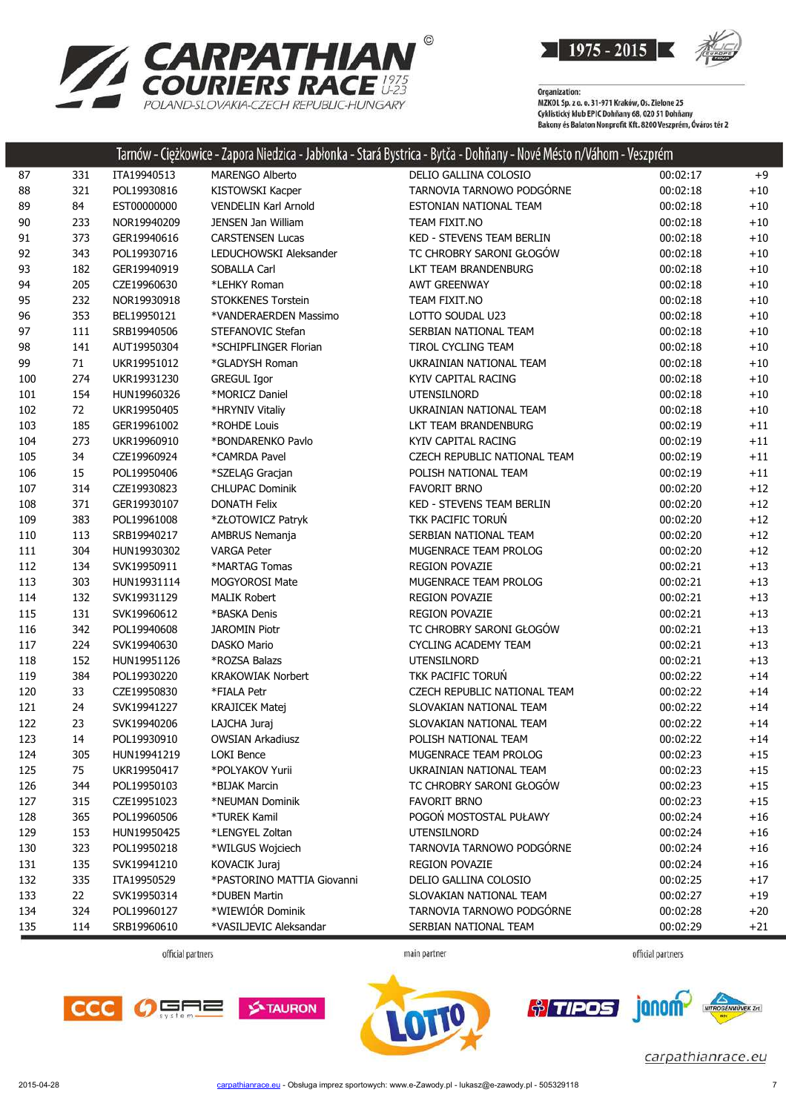



|        |        |             |                            | Tarnow - Ciężkowice - Zapora Niedzica - Jabłonka - Stara Bystrica - Bytca - Dohnany - Nove Mesto n/Vahom - Veszprem |          |       |
|--------|--------|-------------|----------------------------|---------------------------------------------------------------------------------------------------------------------|----------|-------|
| 87     | 331    | ITA19940513 | <b>MARENGO Alberto</b>     | DELIO GALLINA COLOSIO                                                                                               | 00:02:17 | $+9$  |
| 88     | 321    | POL19930816 | KISTOWSKI Kacper           | TARNOVIA TARNOWO PODGÓRNE                                                                                           | 00:02:18 | $+10$ |
| 89     | 84     | EST00000000 | VENDELIN Karl Arnold       | ESTONIAN NATIONAL TEAM                                                                                              | 00:02:18 | $+10$ |
| $90\,$ | 233    | NOR19940209 | JENSEN Jan William         | TEAM FIXIT.NO                                                                                                       | 00:02:18 | $+10$ |
| 91     | 373    | GER19940616 | <b>CARSTENSEN Lucas</b>    | KED - STEVENS TEAM BERLIN                                                                                           | 00:02:18 | $+10$ |
| 92     | 343    | POL19930716 | LEDUCHOWSKI Aleksander     | TC CHROBRY SARONI GŁOGÓW                                                                                            | 00:02:18 | $+10$ |
| 93     | 182    | GER19940919 | SOBALLA Carl               | LKT TEAM BRANDENBURG                                                                                                | 00:02:18 | $+10$ |
| 94     | 205    | CZE19960630 | *LEHKY Roman               | <b>AWT GREENWAY</b>                                                                                                 | 00:02:18 | $+10$ |
| 95     | 232    | NOR19930918 | STOKKENES Torstein         | TEAM FIXIT.NO                                                                                                       | 00:02:18 | $+10$ |
| 96     | 353    | BEL19950121 | *VANDERAERDEN Massimo      | LOTTO SOUDAL U23                                                                                                    | 00:02:18 | $+10$ |
| 97     | 111    | SRB19940506 | STEFANOVIC Stefan          | SERBIAN NATIONAL TEAM                                                                                               | 00:02:18 | $+10$ |
| 98     | 141    | AUT19950304 | *SCHIPFLINGER Florian      | TIROL CYCLING TEAM                                                                                                  | 00:02:18 | $+10$ |
| 99     | $71\,$ | UKR19951012 | *GLADYSH Roman             | UKRAINIAN NATIONAL TEAM                                                                                             | 00:02:18 | $+10$ |
| 100    | 274    | UKR19931230 | <b>GREGUL Igor</b>         | KYIV CAPITAL RACING                                                                                                 | 00:02:18 | $+10$ |
| 101    | 154    | HUN19960326 | *MORICZ Daniel             | UTENSILNORD                                                                                                         | 00:02:18 | $+10$ |
| 102    | 72     | UKR19950405 | *HRYNIV Vitaliy            | UKRAINIAN NATIONAL TEAM                                                                                             | 00:02:18 | $+10$ |
| 103    | 185    | GER19961002 | *ROHDE Louis               | LKT TEAM BRANDENBURG                                                                                                | 00:02:19 | $+11$ |
| 104    | 273    | UKR19960910 | *BONDARENKO Pavlo          | KYIV CAPITAL RACING                                                                                                 | 00:02:19 | $+11$ |
| 105    | 34     | CZE19960924 | *CAMRDA Pavel              | CZECH REPUBLIC NATIONAL TEAM                                                                                        | 00:02:19 | $+11$ |
| 106    | 15     | POL19950406 | *SZELĄG Gracjan            | POLISH NATIONAL TEAM                                                                                                | 00:02:19 | $+11$ |
| 107    | 314    | CZE19930823 | <b>CHLUPAC Dominik</b>     | <b>FAVORIT BRNO</b>                                                                                                 | 00:02:20 | $+12$ |
| 108    | 371    | GER19930107 | <b>DONATH Felix</b>        | <b>KED - STEVENS TEAM BERLIN</b>                                                                                    | 00:02:20 | $+12$ |
| 109    | 383    | POL19961008 | *ZŁOTOWICZ Patryk          | TKK PACIFIC TORUŃ                                                                                                   | 00:02:20 | $+12$ |
| 110    | 113    | SRB19940217 | AMBRUS Nemanja             | SERBIAN NATIONAL TEAM                                                                                               | 00:02:20 | $+12$ |
| 111    | 304    | HUN19930302 | <b>VARGA Peter</b>         | MUGENRACE TEAM PROLOG                                                                                               | 00:02:20 | $+12$ |
| 112    | 134    | SVK19950911 | *MARTAG Tomas              | <b>REGION POVAZIE</b>                                                                                               | 00:02:21 | $+13$ |
| 113    | 303    | HUN19931114 | MOGYOROSI Mate             | MUGENRACE TEAM PROLOG                                                                                               | 00:02:21 | $+13$ |
| 114    | 132    | SVK19931129 | <b>MALIK Robert</b>        | <b>REGION POVAZIE</b>                                                                                               | 00:02:21 | $+13$ |
| 115    | 131    | SVK19960612 | *BASKA Denis               | <b>REGION POVAZIE</b>                                                                                               | 00:02:21 | $+13$ |
| 116    | 342    | POL19940608 | JAROMIN Piotr              | TC CHROBRY SARONI GŁOGÓW                                                                                            | 00:02:21 | $+13$ |
| 117    | 224    | SVK19940630 | DASKO Mario                | <b>CYCLING ACADEMY TEAM</b>                                                                                         | 00:02:21 | $+13$ |
| 118    | 152    | HUN19951126 | *ROZSA Balazs              | UTENSILNORD                                                                                                         | 00:02:21 | $+13$ |
| 119    | 384    | POL19930220 | <b>KRAKOWIAK Norbert</b>   | TKK PACIFIC TORUN                                                                                                   | 00:02:22 | $+14$ |
| 120    | 33     | CZE19950830 | *FIALA Petr                | CZECH REPUBLIC NATIONAL TEAM                                                                                        | 00:02:22 | $+14$ |
| 121    | 24     | SVK19941227 | <b>KRAJICEK Matej</b>      | SLOVAKIAN NATIONAL TEAM                                                                                             | 00:02:22 | $+14$ |
| 122    | 23     | SVK19940206 | LAJCHA Juraj               | SLOVAKIAN NATIONAL TEAM                                                                                             | 00:02:22 | $+14$ |
| 123    | 14     | POL19930910 | <b>OWSIAN Arkadiusz</b>    | POLISH NATIONAL TEAM                                                                                                | 00:02:22 | $+14$ |
| 124    | 305    | HUN19941219 | LOKI Bence                 | MUGENRACE TEAM PROLOG                                                                                               | 00:02:23 | $+15$ |
| 125    | 75     | UKR19950417 | *POLYAKOV Yurii            | UKRAINIAN NATIONAL TEAM                                                                                             | 00:02:23 | $+15$ |
| 126    | 344    | POL19950103 | *BIJAK Marcin              | TC CHROBRY SARONI GŁOGÓW                                                                                            | 00:02:23 | $+15$ |
| 127    | 315    | CZE19951023 | *NEUMAN Dominik            | <b>FAVORIT BRNO</b>                                                                                                 | 00:02:23 | $+15$ |
| 128    | 365    | POL19960506 | *TUREK Kamil               | POGOŃ MOSTOSTAL PUŁAWY                                                                                              | 00:02:24 | $+16$ |
| 129    | 153    | HUN19950425 | *LENGYEL Zoltan            | UTENSILNORD                                                                                                         | 00:02:24 | $+16$ |
| 130    | 323    | POL19950218 | *WILGUS Wojciech           | TARNOVIA TARNOWO PODGÓRNE                                                                                           | 00:02:24 | $+16$ |
| 131    | 135    | SVK19941210 | KOVACIK Juraj              | <b>REGION POVAZIE</b>                                                                                               | 00:02:24 | $+16$ |
| 132    | 335    | ITA19950529 | *PASTORINO MATTIA Giovanni | DELIO GALLINA COLOSIO                                                                                               | 00:02:25 | $+17$ |
| 133    | 22     | SVK19950314 | *DUBEN Martin              | SLOVAKIAN NATIONAL TEAM                                                                                             | 00:02:27 | $+19$ |
| 134    | 324    | POL19960127 | *WIEWIÓR Dominik           | TARNOVIA TARNOWO PODGÓRNE                                                                                           | 00:02:28 | $+20$ |
| 135    | 114    | SRB19960610 | *VASILJEVIC Aleksandar     | SERBIAN NATIONAL TEAM                                                                                               | 00:02:29 | $+21$ |
|        |        |             |                            |                                                                                                                     |          |       |

official partners

main partner









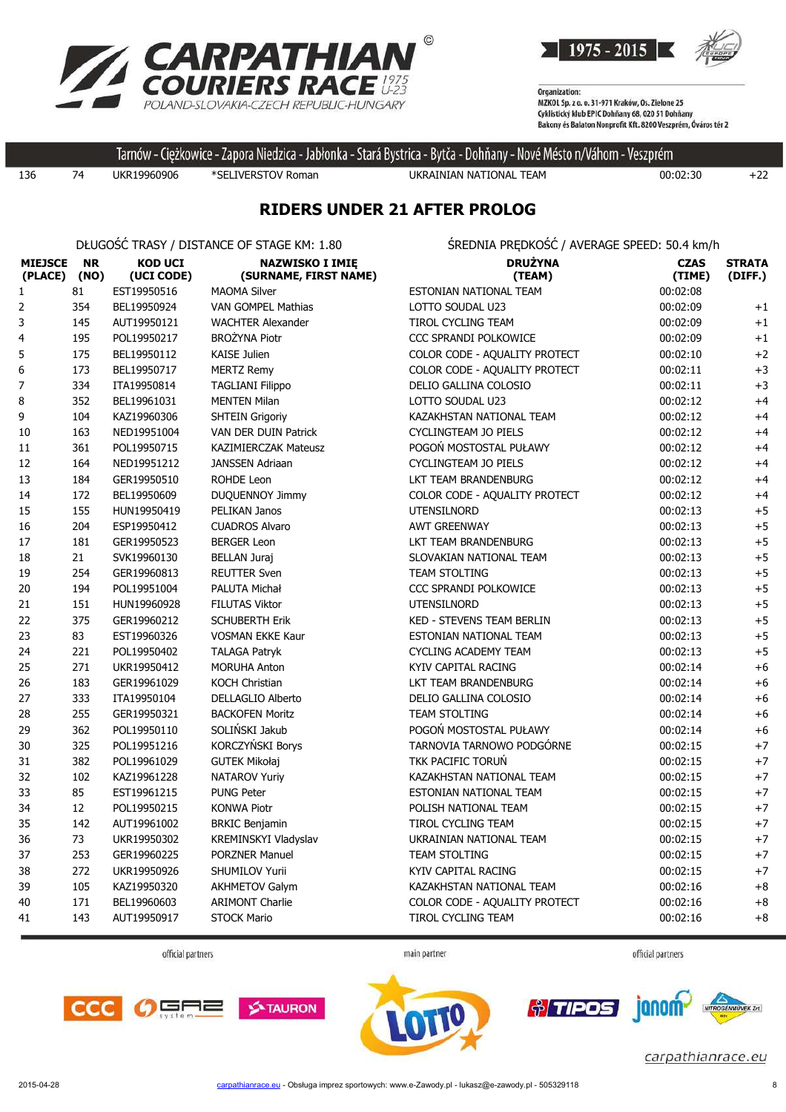



Tarnów - Ciężkowice - Zapora Niedzica - Jabłonka - Stará Bystrica - Bytča - Dohňany - Nové Mésto n/Váhom - Veszprém

136 74 UKR19960906 \*SELIVERSTOV Roman UKRAINIAN NATIONAL TEAM 00:02:30 +22

### **RIDERS UNDER 21 AFTER PROLOG**

DŁUGOŚĆ TRASY / DISTANCE OF STAGE KM: 1.80 ŚREDNIA PRĘDKOŚĆ / AVERAGE SPEED: 50.4 km/h

| <b>MIEJSCE</b><br>(PLACE) | <b>NR</b><br>(NO) | <b>KOD UCI</b><br>(UCI CODE) | <b>NAZWISKO I IMIĘ</b><br>(SURNAME, FIRST NAME) | <b>DRUŻYNA</b><br>(TEAM)         | <b>CZAS</b><br>(TIME) | <b>STRATA</b><br>(DIFF.) |
|---------------------------|-------------------|------------------------------|-------------------------------------------------|----------------------------------|-----------------------|--------------------------|
| 1                         | 81                | EST19950516                  | <b>MAOMA Silver</b>                             | ESTONIAN NATIONAL TEAM           | 00:02:08              |                          |
| 2                         | 354               | BEL19950924                  | VAN GOMPEL Mathias                              | LOTTO SOUDAL U23                 | 00:02:09              | $+1$                     |
| 3                         | 145               | AUT19950121                  | <b>WACHTER Alexander</b>                        | TIROL CYCLING TEAM               | 00:02:09              | $+1$                     |
| 4                         | 195               | POL19950217                  | <b>BROŻYNA Piotr</b>                            | CCC SPRANDI POLKOWICE            | 00:02:09              | $+1$                     |
| 5                         | 175               | BEL19950112                  | <b>KAISE Julien</b>                             | COLOR CODE - AQUALITY PROTECT    | 00:02:10              | $+2$                     |
| 6                         | 173               | BEL19950717                  | <b>MERTZ Remy</b>                               | COLOR CODE - AQUALITY PROTECT    | 00:02:11              | $+3$                     |
| 7                         | 334               | ITA19950814                  | <b>TAGLIANI Filippo</b>                         | DELIO GALLINA COLOSIO            | 00:02:11              | $+3$                     |
| 8                         | 352               | BEL19961031                  | <b>MENTEN Milan</b>                             | LOTTO SOUDAL U23                 | 00:02:12              | $+4$                     |
| 9                         | 104               | KAZ19960306                  | <b>SHTEIN Grigoriy</b>                          | KAZAKHSTAN NATIONAL TEAM         | 00:02:12              | $+4$                     |
| 10                        | 163               | NED19951004                  | VAN DER DUIN Patrick                            | CYCLINGTEAM JO PIELS             | 00:02:12              | $+4$                     |
| 11                        | 361               | POL19950715                  | KAZIMIERCZAK Mateusz                            | POGOŃ MOSTOSTAL PUŁAWY           | 00:02:12              | $+4$                     |
| 12                        | 164               | NED19951212                  | <b>JANSSEN Adriaan</b>                          | <b>CYCLINGTEAM JO PIELS</b>      | 00:02:12              | $+4$                     |
| 13                        | 184               | GER19950510                  | <b>ROHDE Leon</b>                               | LKT TEAM BRANDENBURG             | 00:02:12              | $+4$                     |
| 14                        | 172               | BEL19950609                  | DUQUENNOY Jimmy                                 | COLOR CODE - AQUALITY PROTECT    | 00:02:12              | $+4$                     |
| 15                        | 155               | HUN19950419                  | PELIKAN Janos                                   | UTENSILNORD                      | 00:02:13              | $+5$                     |
| 16                        | 204               | ESP19950412                  | <b>CUADROS Alvaro</b>                           | <b>AWT GREENWAY</b>              | 00:02:13              | $+5$                     |
| 17                        | 181               | GER19950523                  | <b>BERGER Leon</b>                              | LKT TEAM BRANDENBURG             | 00:02:13              | $+5$                     |
| 18                        | 21                | SVK19960130                  | <b>BELLAN Juraj</b>                             | SLOVAKIAN NATIONAL TEAM          | 00:02:13              | $+5$                     |
| 19                        | 254               | GER19960813                  | <b>REUTTER Sven</b>                             | TEAM STOLTING                    | 00:02:13              | $+5$                     |
| 20                        | 194               | POL19951004                  | PALUTA Michał                                   | CCC SPRANDI POLKOWICE            | 00:02:13              | $+5$                     |
| 21                        | 151               | HUN19960928                  | <b>FILUTAS Viktor</b>                           | <b>UTENSILNORD</b>               | 00:02:13              | $+5$                     |
| 22                        | 375               | GER19960212                  | <b>SCHUBERTH Erik</b>                           | <b>KED - STEVENS TEAM BERLIN</b> | 00:02:13              | $+5$                     |
| 23                        | 83                | EST19960326                  | <b>VOSMAN EKKE Kaur</b>                         | ESTONIAN NATIONAL TEAM           | 00:02:13              | $+5$                     |
| 24                        | 221               | POL19950402                  | <b>TALAGA Patryk</b>                            | <b>CYCLING ACADEMY TEAM</b>      | 00:02:13              | $+5$                     |
| 25                        | 271               | UKR19950412                  | <b>MORUHA Anton</b>                             | KYIV CAPITAL RACING              | 00:02:14              | $+6$                     |
| 26                        | 183               | GER19961029                  | <b>KOCH Christian</b>                           | LKT TEAM BRANDENBURG             | 00:02:14              | $+6$                     |
| 27                        | 333               | ITA19950104                  | <b>DELLAGLIO Alberto</b>                        | DELIO GALLINA COLOSIO            | 00:02:14              | $+6$                     |
| 28                        | 255               | GER19950321                  | <b>BACKOFEN Moritz</b>                          | <b>TEAM STOLTING</b>             | 00:02:14              | $+6$                     |
| 29                        | 362               | POL19950110                  | SOLIŃSKI Jakub                                  | POGOŃ MOSTOSTAL PUŁAWY           | 00:02:14              | $+6$                     |
| 30                        | 325               | POL19951216                  | KORCZYŃSKI Borys                                | TARNOVIA TARNOWO PODGÓRNE        | 00:02:15              | $+7$                     |
| 31                        | 382               | POL19961029                  | <b>GUTEK Mikołaj</b>                            | TKK PACIFIC TORUŃ                | 00:02:15              | $+7$                     |
| 32                        | 102               | KAZ19961228                  | <b>NATAROV Yuriy</b>                            | KAZAKHSTAN NATIONAL TEAM         | 00:02:15              | $+7$                     |
| 33                        | 85                | EST19961215                  | <b>PUNG Peter</b>                               | ESTONIAN NATIONAL TEAM           | 00:02:15              | $+7$                     |
| 34                        | 12                | POL19950215                  | <b>KONWA Piotr</b>                              | POLISH NATIONAL TEAM             | 00:02:15              | $+7$                     |
| 35                        | 142               | AUT19961002                  | <b>BRKIC Benjamin</b>                           | <b>TIROL CYCLING TEAM</b>        | 00:02:15              | $+7$                     |
| 36                        | 73                | UKR19950302                  | KREMINSKYI Vladyslav                            | UKRAINIAN NATIONAL TEAM          | 00:02:15              | $+7$                     |
| 37                        | 253               | GER19960225                  | <b>PORZNER Manuel</b>                           | TEAM STOLTING                    | 00:02:15              | $+7$                     |
| 38                        | 272               | UKR19950926                  | SHUMILOV Yurii                                  | KYIV CAPITAL RACING              | 00:02:15              | $+7$                     |
| 39                        | 105               | KAZ19950320                  | <b>AKHMETOV Galym</b>                           | KAZAKHSTAN NATIONAL TEAM         | 00:02:16              | $+8$                     |
| 40                        | 171               | BEL19960603                  | <b>ARIMONT Charlie</b>                          | COLOR CODE - AQUALITY PROTECT    | 00:02:16              | $+8$                     |
| 41                        | 143               | AUT19950917                  | <b>STOCK Mario</b>                              | <b>TIROL CYCLING TEAM</b>        | 00:02:16              | $+8$                     |

official partners

main partner

official partners







janom *<u>* $\frac{8}{7}$  *TIPOS</u>*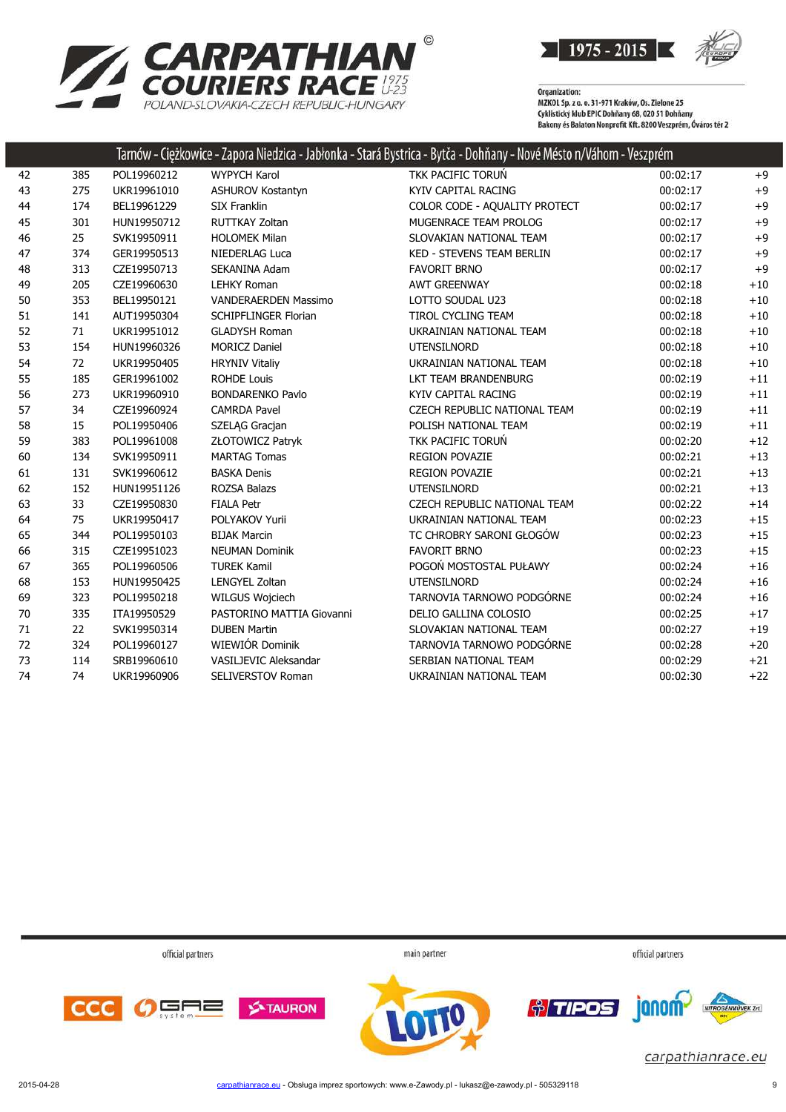

| <b>ZARPATHIAN</b>                        |
|------------------------------------------|
| <b>COURIERS RACE #23</b>                 |
| POI AND-SI OVAKIA-CZECH REPUBLIC-HUNGARY |

Tarnów - Ciężkowice - Zapora Niedzica - Jabłonka - Stará Bystrica - Bytča - Dohňany - Nové Mésto n/Váhom - Veszprém 385 POL19960212 WYPYCH Karol TKK PACIFIC TORUŃ 00:02:17 +9 43 275 UKR19961010 ASHUROV Kostantyn KYIV CAPITAL RACING 60:02:17 +9 44 174 BEL19961229 SIX Franklin COLOR CODE - AQUALITY PROTECT 00:02:17 +9 45 301 HUN19950712 RUTTKAY Zoltan MUGENRACE TEAM PROLOG 00:02:17 +9 25 SVK19950911 HOLOMEK Milan SLOVAKIAN NATIONAL TEAM 00:02:17 +9 374 GER19950513 NIEDERLAG Luca KED - STEVENS TEAM BERLIN 00:02:17 +9 313 CZE19950713 SEKANINA Adam FAVORIT BRNO 00:02:17 +9 205 CZE19960630 LEHKY Roman AWT GREENWAY 00:02:18 +10 353 BEL19950121 VANDERAERDEN Massimo LOTTO SOUDAL U23 00:02:18 +10 141 AUT19950304 SCHIPFLINGER Florian TIROL CYCLING TEAM 00:02:18 +10 71 UKR19951012 GLADYSH Roman UKRAINIAN NATIONAL TEAM 00:02:18 +10 154 HUN19960326 MORICZ Daniel UTENSILNORD 00:02:18 +10 54 72 UKR19950405 HRYNIV Vitaliy UKRAINIAN NATIONAL TEAM 00:02:18 +10 185 GER19961002 ROHDE Louis LKT TEAM BRANDENBURG 00:02:19 +11 273 UKR19960910 BONDARENKO Pavlo KYIV CAPITAL RACING 00:02:19 +11 34 CZE19960924 CAMRDA Pavel CZECH REPUBLIC NATIONAL TEAM 00:02:19 +11 15 POL19950406 SZELĄG Gracjan POLISH NATIONAL TEAM 00:02:19 +11 59 383 POL19961008 ZŁOTOWICZ Patryk TKK PACIFIC TORUŃ 1999 10:02:20 +12 134 SVK19950911 MARTAG Tomas REGION POVAZIE 00:02:21 +13 131 SVK19960612 BASKA Denis REGION POVAZIE 00:02:21 +13 152 HUN19951126 ROZSA Balazs UTENSILNORD 00:02:21 +13 33 CZE19950830 FIALA Petr CZECH REPUBLIC NATIONAL TEAM 00:02:22 +14 75 UKR19950417 POLYAKOV Yurii UKRAINIAN NATIONAL TEAM 00:02:23 +15 344 POL19950103 BIJAK Marcin TC CHROBRY SARONI GŁOGÓW 00:02:23 +15 315 CZE19951023 NEUMAN Dominik FAVORIT BRNO 00:02:23 +15 365 POL19960506 TUREK Kamil POGOŃ MOSTOSTAL PUŁAWY 00:02:24 +16 153 HUN19950425 LENGYEL Zoltan UTENSILNORD 00:02:24 +16 323 POL19950218 WILGUS Wojciech TARNOVIA TARNOWO PODGÓRNE 00:02:24 +16 70 335 ITA19950529 PASTORINO MATTIA Giovanni DELIO GALLINA COLOSIO 00:02:25 +17 22 SVK19950314 DUBEN Martin SLOVAKIAN NATIONAL TEAM 00:02:27 +19 324 POL19960127 WIEWIÓR Dominik TARNOVIA TARNOWO PODGÓRNE 00:02:28 +20 114 SRB19960610 VASILJEVIC Aleksandar SERBIAN NATIONAL TEAM 00:02:29 +21 74 UKR19960906 SELIVERSTOV Roman UKRAINIAN NATIONAL TEAM 00:02:30 +22

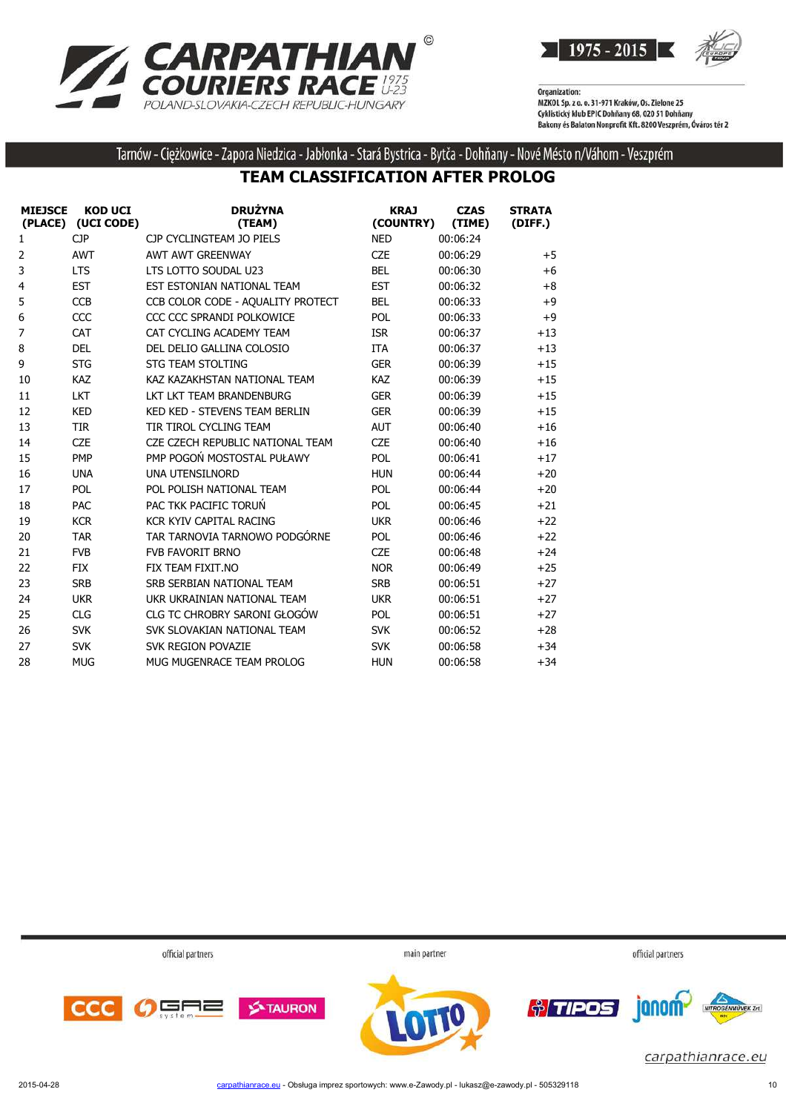



Tarnów - Ciężkowice - Zapora Niedzica - Jabłonka - Stará Bystrica - Bytča - Dohňany - Nové Mésto n/Váhom - Veszprém

### **TEAM CLASSIFICATION AFTER PROLOG**

| <b>MIEJSCE</b> | <b>KOD UCI</b><br>(PLACE) (UCI CODE) | <b>DRUŻYNA</b><br>(TEAM)             | <b>KRAJ</b><br>(COUNTRY) | <b>CZAS</b><br>(TIME) | <b>STRATA</b><br>(DIFF.) |
|----------------|--------------------------------------|--------------------------------------|--------------------------|-----------------------|--------------------------|
| 1              | <b>CJP</b>                           | CJP CYCLINGTEAM JO PIELS             | <b>NED</b>               | 00:06:24              |                          |
| 2              | <b>AWT</b>                           | <b>AWT AWT GREENWAY</b>              | <b>CZE</b>               | 00:06:29              | $+5$                     |
| 3              | <b>LTS</b>                           | LTS LOTTO SOUDAL U23                 | <b>BEL</b>               | 00:06:30              | $+6$                     |
| 4              | <b>EST</b>                           | EST ESTONIAN NATIONAL TEAM           | <b>EST</b>               | 00:06:32              | $+8$                     |
| 5              | <b>CCB</b>                           | CCB COLOR CODE - AQUALITY PROTECT    | <b>BEL</b>               | 00:06:33              | $+9$                     |
| 6              | CCC                                  | CCC CCC SPRANDI POLKOWICE            | <b>POL</b>               | 00:06:33              | $+9$                     |
| $\overline{7}$ | <b>CAT</b>                           | CAT CYCLING ACADEMY TEAM             | <b>ISR</b>               | 00:06:37              | $+13$                    |
| 8              | <b>DEL</b>                           | DEL DELIO GALLINA COLOSIO            | <b>ITA</b>               | 00:06:37              | $+13$                    |
| 9              | <b>STG</b>                           | <b>STG TEAM STOLTING</b>             | <b>GER</b>               | 00:06:39              | $+15$                    |
| 10             | <b>KAZ</b>                           | KAZ KAZAKHSTAN NATIONAL TEAM         | <b>KAZ</b>               | 00:06:39              | $+15$                    |
| 11             | <b>LKT</b>                           | LKT LKT TEAM BRANDENBURG             | <b>GER</b>               | 00:06:39              | $+15$                    |
| 12             | <b>KED</b>                           | <b>KED KED - STEVENS TEAM BERLIN</b> | <b>GER</b>               | 00:06:39              | $+15$                    |
| 13             | <b>TIR</b>                           | TIR TIROL CYCLING TEAM               | <b>AUT</b>               | 00:06:40              | $+16$                    |
| 14             | <b>CZE</b>                           | CZE CZECH REPUBLIC NATIONAL TEAM     | <b>CZE</b>               | 00:06:40              | $+16$                    |
| 15             | <b>PMP</b>                           | PMP POGOŃ MOSTOSTAL PUŁAWY           | POL                      | 00:06:41              | $+17$                    |
| 16             | <b>UNA</b>                           | <b>UNA UTENSILNORD</b>               | <b>HUN</b>               | 00:06:44              | $+20$                    |
| 17             | <b>POL</b>                           | POL POLISH NATIONAL TEAM             | <b>POL</b>               | 00:06:44              | $+20$                    |
| 18             | <b>PAC</b>                           | PAC TKK PACIFIC TORUN                | POL                      | 00:06:45              | $+21$                    |
| 19             | <b>KCR</b>                           | KCR KYIV CAPITAL RACING              | <b>UKR</b>               | 00:06:46              | $+22$                    |
| 20             | <b>TAR</b>                           | TAR TARNOVIA TARNOWO PODGÓRNE        | POL                      | 00:06:46              | $+22$                    |
| 21             | <b>FVB</b>                           | <b>FVB FAVORIT BRNO</b>              | <b>CZE</b>               | 00:06:48              | $+24$                    |
| 22             | <b>FIX</b>                           | FIX TEAM FIXIT.NO                    | <b>NOR</b>               | 00:06:49              | $+25$                    |
| 23             | <b>SRB</b>                           | SRB SERBIAN NATIONAL TEAM            | <b>SRB</b>               | 00:06:51              | $+27$                    |
| 24             | <b>UKR</b>                           | UKR UKRAINIAN NATIONAL TEAM          | <b>UKR</b>               | 00:06:51              | $+27$                    |
| 25             | <b>CLG</b>                           | <b>CLG TC CHROBRY SARONI GŁOGÓW</b>  | <b>POL</b>               | 00:06:51              | $+27$                    |
| 26             | <b>SVK</b>                           | SVK SLOVAKIAN NATIONAL TEAM          | <b>SVK</b>               | 00:06:52              | $+28$                    |
| 27             | <b>SVK</b>                           | SVK REGION POVAZIE                   | <b>SVK</b>               | 00:06:58              | $+34$                    |
| 28             | <b>MUG</b>                           | MUG MUGENRACE TEAM PROLOG            | <b>HUN</b>               | 00:06:58              | $+34$                    |

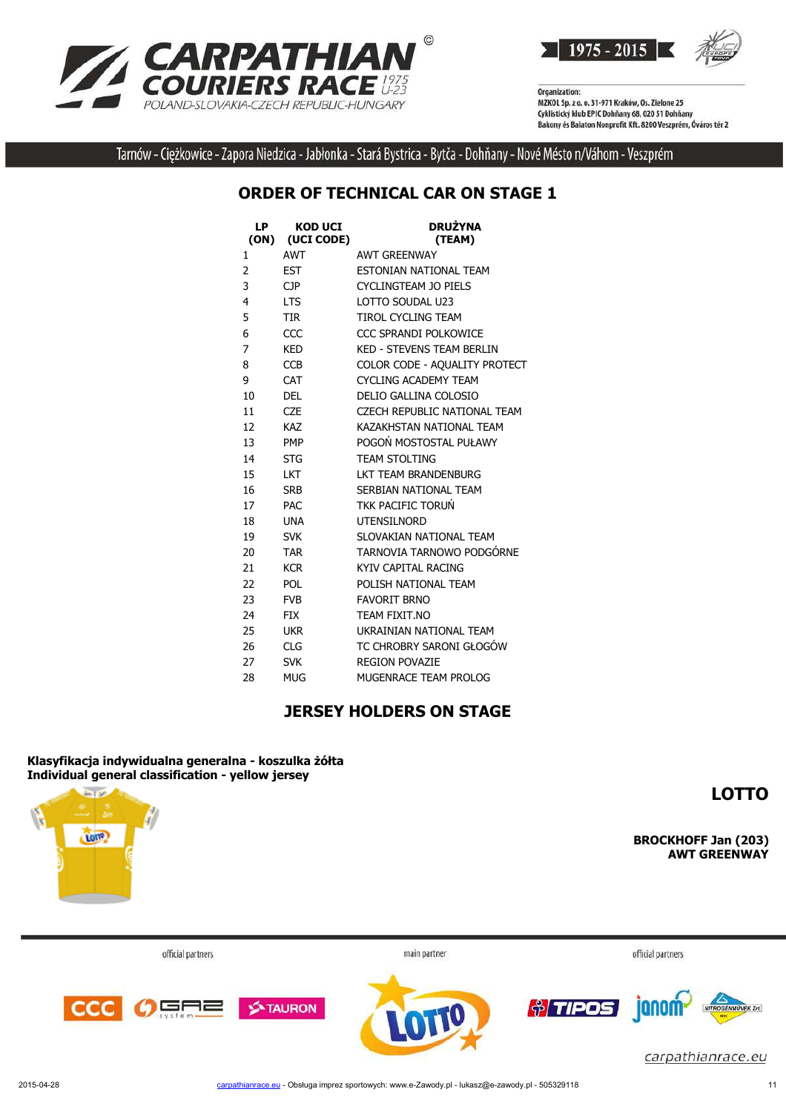

1975 - 2015

Organization: MZKOL Sp. z o. o. 31-971 Kraków, Os. Zielone 25 Cyklistický klub EPIC Dohňany 68, 020 51 Dohňany Bakony és Balaton Nonprofit Kft. 8200 Veszprém, Óváros tér 2

Tarnów - Ciężkowice - Zapora Niedzica - Jabłonka - Stará Bystrica - Bytča - Dohňany - Nové Mésto n/Váhom - Veszprém

### **ORDER OF TECHNICAL CAR ON STAGE 1**

| LP<br>(ON) | <b>KOD UCI</b><br>(UCI CODE) | <b>DRUŻYNA</b><br>(TEAM)         |
|------------|------------------------------|----------------------------------|
| 1          | <b>AWT</b>                   | <b>AWT GREENWAY</b>              |
| 2          | <b>EST</b>                   | ESTONIAN NATIONAL TEAM           |
| 3          | CJP.                         | <b>CYCLINGTEAM JO PIELS</b>      |
| 4          | <b>LTS</b>                   | LOTTO SOUDAL U23                 |
| 5          | <b>TIR</b>                   | <b>TIROL CYCLING TEAM</b>        |
| 6          | CCC                          | CCC SPRANDI POLKOWICE            |
| 7          | <b>KED</b>                   | <b>KED - STEVENS TEAM BERLIN</b> |
| 8          | <b>CCB</b>                   | COLOR CODE - AQUALITY PROTECT    |
| 9          | CAT                          | <b>CYCLING ACADEMY TEAM</b>      |
| 10         | <b>DEL</b>                   | DELIO GALLINA COLOSIO            |
| 11         | <b>CZE</b>                   | CZECH REPUBLIC NATIONAL TEAM     |
| 12         | <b>KAZ</b>                   | KAZAKHSTAN NATIONAL TEAM         |
| 13         | <b>PMP</b>                   | POGOŃ MOSTOSTAL PUŁAWY           |
| 14         | <b>STG</b>                   | <b>TEAM STOLTING</b>             |
| 15         | <b>LKT</b>                   | LKT TEAM BRANDENBURG             |
| 16         | <b>SRB</b>                   | SERBIAN NATIONAL TEAM            |
| 17         | <b>PAC</b>                   | TKK PACIFIC TORUŃ                |
| 18         | <b>UNA</b>                   | <b>UTENSILNORD</b>               |
| 19         | <b>SVK</b>                   | SLOVAKIAN NATIONAL TEAM          |
| 20         | <b>TAR</b>                   | TARNOVIA TARNOWO PODGÓRNE        |
| 21         | <b>KCR</b>                   | KYIV CAPITAL RACING              |
| 22         | <b>POL</b>                   | POLISH NATIONAL TEAM             |
| 23         | <b>FVB</b>                   | <b>FAVORIT BRNO</b>              |
| 24         | <b>FIX</b>                   | TEAM FIXIT.NO                    |
| 25         | <b>UKR</b>                   | UKRAINIAN NATIONAL TEAM          |
| 26         | <b>CLG</b>                   | TC CHROBRY SARONI GŁOGÓW         |
| 27         | <b>SVK</b>                   | <b>REGION POVAZIE</b>            |
| 28         | MUG                          | MUGENRACE TEAM PROLOG            |

#### **JERSEY HOLDERS ON STAGE**

**Klasyfikacja indywidualna generalna - koszulka żółta Individual general classification - yellow jersey**

**LOTTO**



**BROCKHOFF Jan (203) AWT GREENWAY**

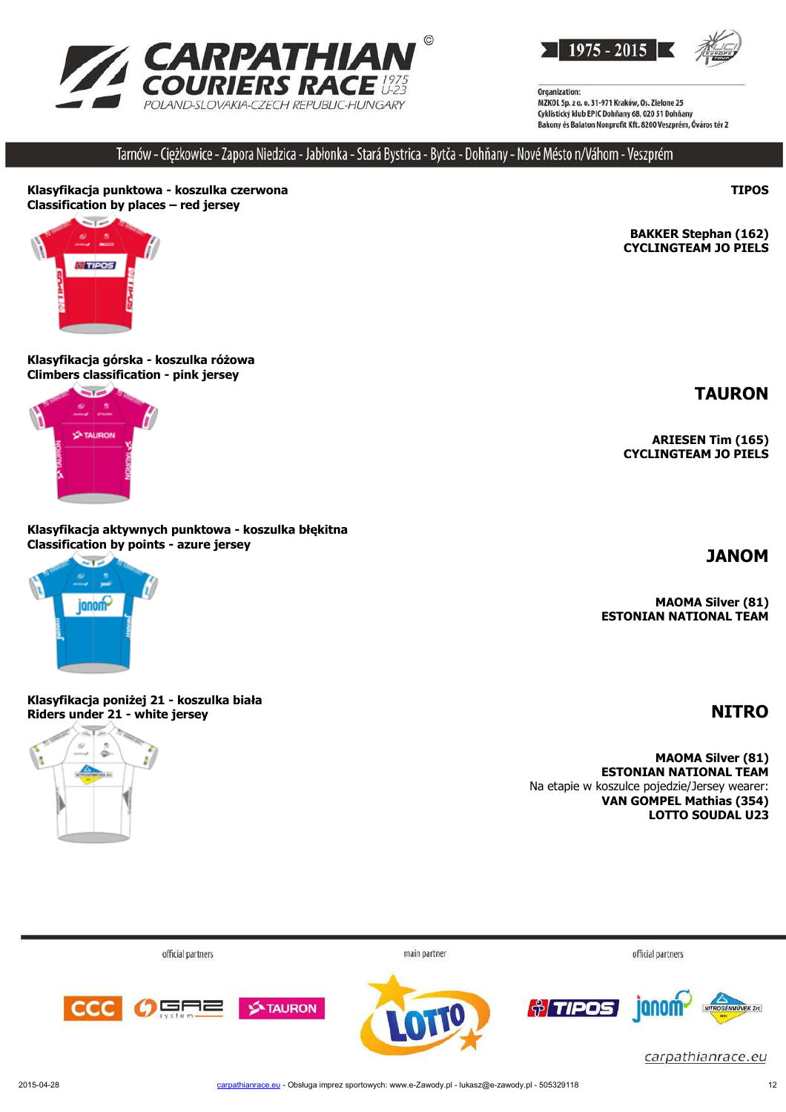



Tarnów - Ciężkowice - Zapora Niedzica - Jabłonka - Stará Bystrica - Bytča - Dohňany - Nové Mésto n/Váhom - Veszprém

#### **Klasyfikacja punktowa - koszulka czerwona Classification by places – red jersey**



#### **Klasyfikacja górska - koszulka różowa Climbers classification - pink jersey**



#### **Klasyfikacja aktywnych punktowa - koszulka błękitna Classification by points - azure jersey**



**Klasyfikacja poniżej 21 - koszulka biała Riders under 21 - white jersey NITRO**



**BAKKER Stephan (162) CYCLINGTEAM JO PIELS**

**TAURON**

**TIPOS**

**ARIESEN Tim (165) CYCLINGTEAM JO PIELS**

**JANOM**

**MAOMA Silver (81) ESTONIAN NATIONAL TEAM**

**MAOMA Silver (81) ESTONIAN NATIONAL TEAM** Na etapie w koszulce pojedzie/Jersey wearer:  **VAN GOMPEL Mathias (354) LOTTO SOUDAL U23**